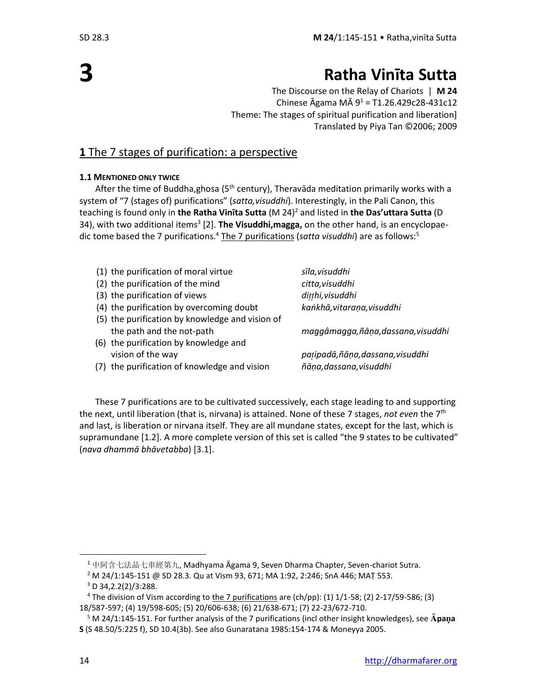**3**

## **Ratha Vinīta Sutta**

The Discourse on the Relay of Chariots | **M 24** Chinese Āgama MĀ  $9^1$  = T1.26.429c28-431c12 Theme: The stages of spiritual purification and liberation] Translated by Piya Tan ©2006; 2009

### **1** The 7 stages of purification: a perspective

### **1.1 MENTIONED ONLY TWICE**

After the time of Buddha,ghosa (5<sup>th</sup> century), Theravāda meditation primarily works with a system of "7 (stages of) purifications" (*satta,visuddhi*). Interestingly, in the Pali Canon, this teaching is found only in **the Ratha Vinīta Sutta** (M 24)<sup>2</sup> and listed in **the Das'uttara Sutta** (D 34), with two additional items<sup>3</sup> [2]. **The Visuddhi,magga,** on the other hand, is an encyclopaedic tome based the 7 purifications.<sup>4</sup> The 7 purifications (*satta visuddhi*) are as follows:<sup>5</sup>

| (1) the purification of moral virtue            | sīla,visuddhi                     |
|-------------------------------------------------|-----------------------------------|
| (2) the purification of the mind                | citta, visuddhi                   |
| (3) the purification of views                   | ditthi, visuddhi                  |
| (4) the purification by overcoming doubt        | kankhā, vitaraņa, visuddhi        |
| (5) the purification by knowledge and vision of |                                   |
| the path and the not-path                       | maggâmagga,ñāņa,dassana,visuddhi  |
| (6) the purification by knowledge and           |                                   |
| vision of the way                               | pațipadā, ñāņa, dassana, visuddhi |
| (7) the purification of knowledge and vision    | ñāņa, dassana, visuddhi           |
|                                                 |                                   |

These 7 purifications are to be cultivated successively, each stage leading to and supporting the next, until liberation (that is, nirvana) is attained. None of these 7 stages, not even the 7<sup>th</sup> and last, is liberation or nirvana itself. They are all mundane states, except for the last, which is supramundane [1.2]. A more complete version of this set is called "the 9 states to be cultivated" (*nava dhammā bhāvetabba*) [3.1].

<sup>1</sup> 中阿含七法品七車經第九, Madhyama Āgama 9, Seven Dharma Chapter, Seven-chariot Sutra.

<sup>2</sup> M 24/1:145-151 @ SD 28.3. Qu at Vism 93, 671; MA 1:92, 2:246; SnA 446; MAṬ 553.

 $3$  D 34, 2.2(2)/3:288.

<sup>4</sup> The division of Vism according to the 7 purifications are (ch/pp): (1) 1/1-58; (2) 2-17/59-586; (3) 18/587-597; (4) 19/598-605; (5) 20/606-638; (6) 21/638-671; (7) 22-23/672-710.

<sup>&</sup>lt;sup>5</sup> M 24/1:145-151. For further analysis of the 7 purifications (incl other insight knowledges), see Apana **S** (S 48.50/5:225 f), SD 10.4(3b). See also Gunaratana 1985:154-174 & Moneyya 2005.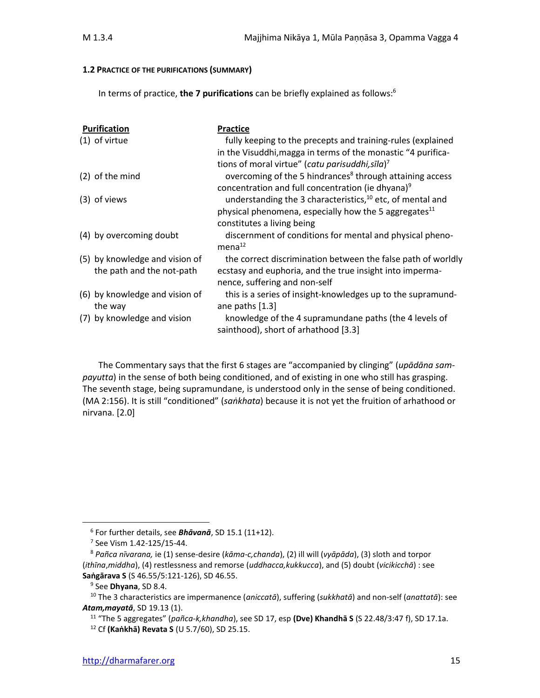#### **1.2 PRACTICE OF THE PURIFICATIONS (SUMMARY)**

In terms of practice, **the 7 purifications** can be briefly explained as follows: 6

| Purification                              | <b>Practice</b>                                                                                                             |
|-------------------------------------------|-----------------------------------------------------------------------------------------------------------------------------|
| $(1)$ of virtue                           | fully keeping to the precepts and training-rules (explained<br>in the Visuddhi, magga in terms of the monastic "4 purifica- |
|                                           | tions of moral virtue" (catu parisuddhi, sīla) <sup>7</sup>                                                                 |
| (2) of the mind                           | overcoming of the 5 hindrances <sup>8</sup> through attaining access                                                        |
|                                           | concentration and full concentration (ie dhyana) <sup>9</sup>                                                               |
| (3) of views                              | understanding the 3 characteristics, <sup>10</sup> etc, of mental and                                                       |
|                                           | physical phenomena, especially how the 5 aggregates $^{11}$                                                                 |
|                                           | constitutes a living being                                                                                                  |
| (4) by overcoming doubt                   | discernment of conditions for mental and physical pheno-<br>mena <sup>12</sup>                                              |
| (5) by knowledge and vision of            | the correct discrimination between the false path of worldly                                                                |
| the path and the not-path                 | ecstasy and euphoria, and the true insight into imperma-<br>nence, suffering and non-self                                   |
| (6) by knowledge and vision of<br>the way | this is a series of insight-knowledges up to the supramund-<br>ane paths [1.3]                                              |
| (7) by knowledge and vision               | knowledge of the 4 supramundane paths (the 4 levels of<br>sainthood), short of arhathood [3.3]                              |

The Commentary says that the first 6 stages are "accompanied by clinging" (*upādāna sampayutta*) in the sense of both being conditioned, and of existing in one who still has grasping. The seventh stage, being supramundane, is understood only in the sense of being conditioned. (MA 2:156). It is still "conditioned" (*saṅkhata*) because it is not yet the fruition of arhathood or nirvana. [2.0]

<sup>11</sup> "The 5 aggregates" (*pañca-k,khandha*), see SD 17, esp **(Dve) Khandhā S** (S 22.48/3:47 f), SD 17.1a.

<sup>6</sup> For further details, see *Bhāvanā*, SD 15.1 (11+12).

<sup>7</sup> See Vism 1.42-125/15-44.

<sup>8</sup> *Pañca nīvarana,* ie (1) sense-desire (*kāma-c,chanda*), (2) ill will (*vyāpāda*), (3) sloth and torpor (*ithīna*,*middha*), (4) restlessness and remorse (*uddhacca,kukkucca*), and (5) doubt (*vicikicchā*) : see **Saṅgārava S** (S 46.55/5:121-126), SD 46.55.

<sup>9</sup> See **Dhyana**, SD 8.4.

<sup>10</sup> The 3 characteristics are impermanence (*aniccatā*), suffering (*sukkhatā*) and non-self (*anattatā*): see *Atam,mayatā*, SD 19.13 (1).

<sup>12</sup> Cf **(Kaṅkhā) Revata S** (U 5.7/60), SD 25.15.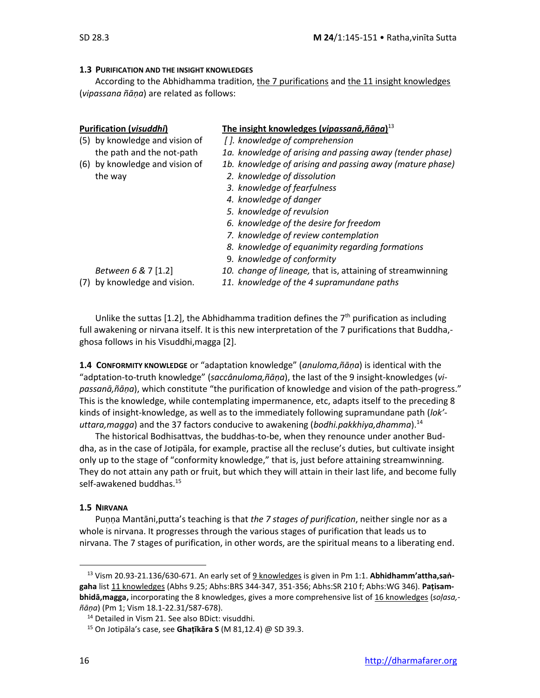### **1.3 PURIFICATION AND THE INSIGHT KNOWLEDGES**

According to the Abhidhamma tradition, the 7 purifications and the 11 insight knowledges (*vipassana ñāṇa*) are related as follows:

| (5) by knowledge and vision of | []. knowledge of comprehension                                                                                     |
|--------------------------------|--------------------------------------------------------------------------------------------------------------------|
| the path and the not-path      | 1a. knowledge of arising and pass                                                                                  |
| (6) by knowledge and vision of | 1b. knowledge of arising and pass                                                                                  |
| the way                        | 2. knowledge of dissolution                                                                                        |
|                                | 3. knowledge of fearfulness                                                                                        |
|                                | $\mathbf{A}$ and $\mathbf{A}$ and $\mathbf{A}$ and $\mathbf{A}$ and $\mathbf{A}$ and $\mathbf{A}$ and $\mathbf{A}$ |

### **Purification (***visuddhi***) The insight knowledges (***vipassanā,ñāṇa***)** 13

- - $t$ dge of arising and passing away (tender phase)
- (6) by knowledge and vision of *1b. knowledge of arising and passing away (mature phase)*
	- $2$ *dge of dissolution*
	- *3. knowledge of fearfulness*
	- *4. knowledge of danger*
	- *5. knowledge of revulsion*
	- *6. knowledge of the desire for freedom*
	- *7. knowledge of review contemplation*
	- *8. knowledge of equanimity regarding formations*
	- 9*. knowledge of conformity*

- 
- *Between 6 &* 7 [1.2] *10. change of lineage,* that is, attaining of streamwinning
- (7) by knowledge and vision. *11. knowledge of the 4 supramundane paths*

Unlike the suttas [1.2], the Abhidhamma tradition defines the  $7<sup>th</sup>$  purification as including full awakening or nirvana itself. It is this new interpretation of the 7 purifications that Buddha, ghosa follows in his Visuddhi,magga [2].

**1.4 CONFORMITY KNOWLEDGE** or "adaptation knowledge" (*anuloma,ñāṇa*) is identical with the "adptation-to-truth knowledge" (*saccânuloma,ñāṇa*), the last of the 9 insight-knowledges (*vipassanā,ñāṇa*), which constitute "the purification of knowledge and vision of the path-progress." This is the knowledge, while contemplating impermanence, etc, adapts itself to the preceding 8 kinds of insight-knowledge, as well as to the immediately following supramundane path (*lok' uttara,magga*) and the 37 factors conducive to awakening (*bodhi.pakkhiya,dhamma*). 14

The historical Bodhisattvas, the buddhas-to-be, when they renounce under another Buddha, as in the case of Jotipāla, for example, practise all the recluse's duties, but cultivate insight only up to the stage of "conformity knowledge," that is, just before attaining streamwinning. They do not attain any path or fruit, but which they will attain in their last life, and become fully self-awakened buddhas.<sup>15</sup>

#### **1.5 NIRVANA**

Puṇṇa Mantāni,putta's teaching is that *the 7 stages of purification*, neither single nor as a whole is nirvana. It progresses through the various stages of purification that leads us to nirvana. The 7 stages of purification, in other words, are the spiritual means to a liberating end.

<sup>13</sup> Vism 20.93-21.136/630-671. An early set of 9 knowledges is given in Pm 1:1. **Abhidhamm'attha,saṅgaha** list 11 knowledges (Abhs 9.25; Abhs:BRS 344-347, 351-356; Abhs:SR 210 f; Abhs:WG 346). **Paṭisambhidā,magga,** incorporating the 8 knowledges, gives a more comprehensive list of 16 knowledges (*soļasa, ñāṇa*) (Pm 1; Vism 18.1-22.31/587-678).

<sup>&</sup>lt;sup>14</sup> Detailed in Vism 21. See also BDict: visuddhi.

<sup>15</sup> On Jotipāla's case, see **Ghaṭīkāra S** (M 81,12.4) @ SD 39.3.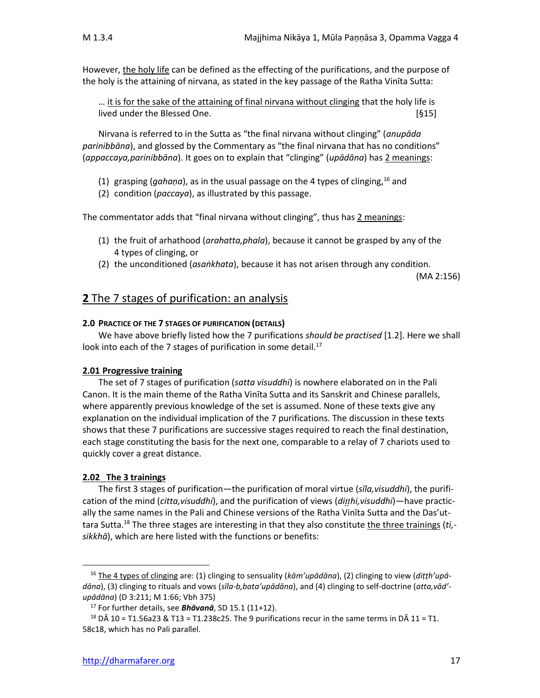However, the holy life can be defined as the effecting of the purifications, and the purpose of the holy is the attaining of nirvana, as stated in the key passage of the Ratha Vinīta Sutta:

… it is for the sake of the attaining of final nirvana without clinging that the holy life is lived under the Blessed One. **Example 20** and the state of  $[§15]$ 

Nirvana is referred to in the Sutta as "the final nirvana without clinging" (*anupāda parinibbāna*), and glossed by the Commentary as "the final nirvana that has no conditions" (*appaccaya,parinibbāna*). It goes on to explain that "clinging" (*upādāna*) has 2 meanings:

- (1) grasping (*gahaṇa*), as in the usual passage on the 4 types of clinging,<sup>16</sup> and
- (2) condition (*paccaya*), as illustrated by this passage.

The commentator adds that "final nirvana without clinging", thus has 2 meanings:

- (1) the fruit of arhathood (*arahatta,phala*), because it cannot be grasped by any of the 4 types of clinging, or
- (2) the unconditioned (*asaṅkhata*), because it has not arisen through any condition.

(MA 2:156)

### **2** The 7 stages of purification: an analysis

### **2.0 PRACTICE OF THE 7 STAGES OF PURIFICATION (DETAILS)**

We have above briefly listed how the 7 purifications *should be practised* [1.2]. Here we shall look into each of the 7 stages of purification in some detail.<sup>17</sup>

### **2.01 Progressive training**

The set of 7 stages of purification (*satta visuddhi*) is nowhere elaborated on in the Pali Canon. It is the main theme of the Ratha Vinīta Sutta and its Sanskrit and Chinese parallels, where apparently previous knowledge of the set is assumed. None of these texts give any explanation on the individual implication of the 7 purifications. The discussion in these texts shows that these 7 purifications are successive stages required to reach the final destination, each stage constituting the basis for the next one, comparable to a relay of 7 chariots used to quickly cover a great distance.

### **2.02 The 3 trainings**

The first 3 stages of purification—the purification of moral virtue (*sīla,visuddhi*), the purification of the mind (*citta,visuddhi*), and the purification of views (*dihi,visuddhi*)—have practically the same names in the Pali and Chinese versions of the Ratha Vinīta Sutta and the Das'uttara Sutta.<sup>18</sup> The three stages are interesting in that they also constitute the three trainings (*ti, sikkhā*), which are here listed with the functions or benefits:

<sup>16</sup> The 4 types of clinging are: (1) clinging to sensuality (*kām'upādāna*), (2) clinging to view (*diṭṭh'upādāna*), (3) clinging to rituals and vows (*sīla-b,bata'upādāna*), and (4) clinging to self-doctrine (*atta,vād' upādāna*) (D 3:211; M 1:66; Vbh 375)

<sup>17</sup> For further details, see *Bhāvanā*, SD 15.1 (11+12).

<sup>&</sup>lt;sup>18</sup> D $\overline{A}$  10 = T1.56a23 & T13 = T1.238c25. The 9 purifications recur in the same terms in D $\overline{A}$  11 = T1. 58c18, which has no Pali parallel.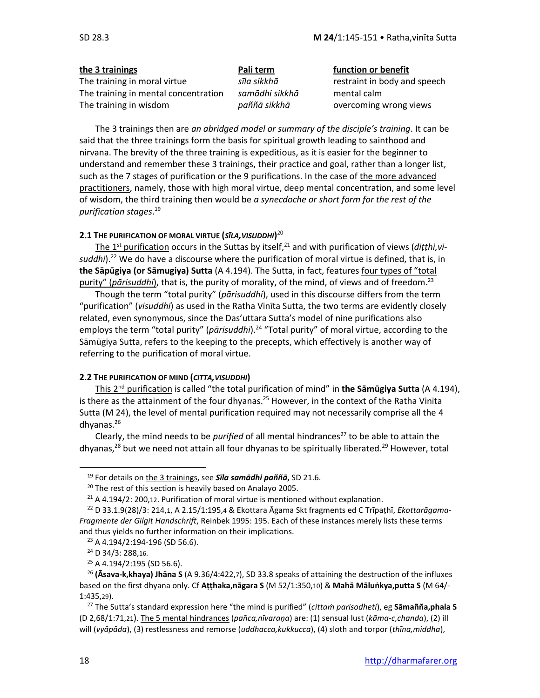The training in moral virtue *sīla sikkhā* restraint in body and speech The training in mental concentration *samādhi sikkhā* mental calm The training in wisdom *paññā sikkhā* overcoming wrong views

**the 3 trainings Pali term function or benefit**

The 3 trainings then are *an abridged model or summary of the disciple's training*. It can be said that the three trainings form the basis for spiritual growth leading to sainthood and nirvana. The brevity of the three training is expeditious, as it is easier for the beginner to understand and remember these 3 trainings, their practice and goal, rather than a longer list, such as the 7 stages of purification or the 9 purifications. In the case of the more advanced practitioners, namely, those with high moral virtue, deep mental concentration, and some level of wisdom, the third training then would be *a synecdoche or short form for the rest of the purification stages*. 19

### **2.1 THE PURIFICATION OF MORAL VIRTUE (***SĪLA,VISUDDHI***)** 20

The 1<sup>st</sup> purification occurs in the Suttas by itself,<sup>21</sup> and with purification of views (*diṭṭhi,vi*suddhi).<sup>22</sup> We do have a discourse where the purification of moral virtue is defined, that is, in **the Sāpūgiya (or Sāmugiya) Sutta** (A 4.194). The Sutta, in fact, features four types of "total purity" (*pārisuddhi*), that is, the purity of morality, of the mind, of views and of freedom. 23

Though the term "total purity" (*pārisuddhi*), used in this discourse differs from the term "purification" (*visuddhi*) as used in the Ratha Vinīta Sutta, the two terms are evidently closely related, even synonymous, since the Das'uttara Sutta's model of nine purifications also employs the term "total purity" (*pārisuddhi*).<sup>24</sup> "Total purity" of moral virtue, according to the Sāmūgiya Sutta, refers to the keeping to the precepts, which effectively is another way of referring to the purification of moral virtue.

### **2.2 THE PURIFICATION OF MIND (***CITTA,VISUDDHI***)**

This 2<sup>nd</sup> purification is called "the total purification of mind" in **the Sāmūgiya Sutta** (A 4.194), is there as the attainment of the four dhyanas.<sup>25</sup> However, in the context of the Ratha Vinita Sutta (M 24), the level of mental purification required may not necessarily comprise all the 4 dhyanas.<sup>26</sup>

Clearly, the mind needs to be *purified* of all mental hindrances<sup>27</sup> to be able to attain the dhyanas,<sup>28</sup> but we need not attain all four dhyanas to be spiritually liberated.<sup>29</sup> However, total

<sup>19</sup> For details on the 3 trainings, see *Sīla samādhi paññā***,** SD 21.6.

 $20$  The rest of this section is heavily based on Analayo 2005.

 $21$  A 4.194/2: 200,12. Purification of moral virtue is mentioned without explanation.

<sup>22</sup> D 33.1.9(28)/3: 214,1, A 2.15/1:195,4 & Ekottara Āgama Skt fragments ed C Trīpaṭhī, *Ekottarāgama-Fragmente der Gilgit Handschrift*, Reinbek 1995: 195. Each of these instances merely lists these terms and thus yields no further information on their implications.

<sup>&</sup>lt;sup>23</sup> A 4.194/2:194-196 (SD 56.6).

<sup>24</sup> D 34/3: 288,16.

<sup>&</sup>lt;sup>25</sup> A 4.194/2:195 (SD 56.6).

<sup>26</sup> **(Āsava-k,khaya) Jhāna S** (A 9.36/4:422,7), SD 33.8 speaks of attaining the destruction of the influxes based on the first dhyana only. Cf **Aṭṭhaka,nāgara S** (M 52/1:350,10) & **Mahā Māluṅkya,putta S** (M 64/- 1:435,29).

<sup>27</sup> The Sutta's standard expression here "the mind is purified" (*cittaṁ parisodheti*), eg **Sāmañña,phala S**  (D 2,68/1:71,21). The 5 mental hindrances (*pañca,nīvaraṇa*) are: (1) sensual lust (*kāma-c,chanda*), (2) ill will (*vyāpāda*), (3) restlessness and remorse (*uddhacca,kukkucca*), (4) sloth and torpor (*thīna,middha*),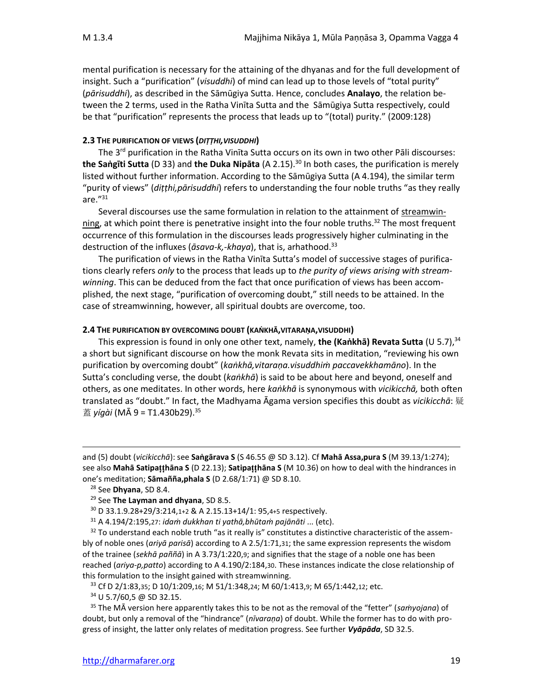mental purification is necessary for the attaining of the dhyanas and for the full development of insight. Such a "purification" (*visuddhi*) of mind can lead up to those levels of "total purity" (*pārisuddhi*), as described in the Sāmūgiya Sutta. Hence, concludes **Analayo**, the relation between the 2 terms, used in the Ratha Vinīta Sutta and the Sāmūgiya Sutta respectively, could be that "purification" represents the process that leads up to "(total) purity." (2009:128)

### **2.3 THE PURIFICATION OF VIEWS (***DIṬṬHI,VISUDDHI***)**

The 3<sup>rd</sup> purification in the Ratha Vinīta Sutta occurs on its own in two other Pāli discourses: **the Saṅgīti Sutta** (D 33) and **the Duka Nipāta** (A 2.15).<sup>30</sup> In both cases, the purification is merely listed without further information. According to the Sāmūgiya Sutta (A 4.194), the similar term "purity of views" (*diṭṭhi,pārisuddhi*) refers to understanding the four noble truths "as they really are."<sup>31</sup>

Several discourses use the same formulation in relation to the attainment of streamwinning, at which point there is penetrative insight into the four noble truths.<sup>32</sup> The most frequent occurrence of this formulation in the discourses leads progressively higher culminating in the destruction of the influxes (*āsava-k,-khaya*), that is, arhathood. 33

The purification of views in the Ratha Vinīta Sutta's model of successive stages of purifications clearly refers *only* to the process that leads up to *the purity of views arising with streamwinning*. This can be deduced from the fact that once purification of views has been accomplished, the next stage, "purification of overcoming doubt," still needs to be attained. In the case of streamwinning, however, all spiritual doubts are overcome, too.

### **2.4 THE PURIFICATION BY OVERCOMING DOUBT (KAṄKHĀ,VITARAṆA,VISUDDHI)**

This expression is found in only one other text, namely, **the (Kaṅkhā) Revata Sutta** (U 5.7), 34 a short but significant discourse on how the monk Revata sits in meditation, "reviewing his own purification by overcoming doubt" (*kaṅkhā,vitaraṇa.visuddhiṁ paccavekkhamāno*). In the Sutta's concluding verse, the doubt (*kaṅkhā*) is said to be about here and beyond, oneself and others, as one meditates. In other words, here *kaṅkhā* is synonymous with *vicikicchā,* both often translated as "doubt." In fact, the Madhyama Āgama version specifies this doubt as *vicikicchā*: 疑 蓋 *yígài* (MĀ 9 = T1.430b29).<sup>35</sup>

<sup>34</sup> U 5.7/60,5 @ SD 32.15.

and (5) doubt (*vicikicchā*): see **Saṅgārava S** (S 46.55 @ SD 3.12). Cf **Mahā Assa,pura S** (M 39.13/1:274); see also **Mahā Satipahāna S** (D 22.13); **Satipahāna S** (M 10.36) on how to deal with the hindrances in one's meditation; **Sāmañña,phala S** (D 2.68/1:71) @ SD 8.10.

<sup>28</sup> See **Dhyana**, SD 8.4.

<sup>29</sup> See **The Layman and dhyana**, SD 8.5.

<sup>30</sup> D 33.1.9.28+29/3:214,1+2 & A 2.15.13+14/1: 95,4+5 respectively.

<sup>31</sup> A 4.194/2:195,27: *idaṁ dukkhan ti yathā,bhūtaṁ pajānāti* ... (etc).

 $32$  To understand each noble truth "as it really is" constitutes a distinctive characteristic of the assembly of noble ones (*ariyā parisā*) according to A 2.5/1:71,31; the same expression represents the wisdom of the trainee (*sekhā paññā*) in A 3.73/1:220,9; and signifies that the stage of a noble one has been reached (*ariya-p,patto*) according to A 4.190/2:184,30. These instances indicate the close relationship of this formulation to the insight gained with streamwinning.

<sup>33</sup> Cf D 2/1:83,35; D 10/1:209,16; M 51/1:348,24; M 60/1:413,9; M 65/1:442,12; etc.

<sup>35</sup> The MĀ version here apparently takes this to be not as the removal of the "fetter" (*saṁyojana*) of doubt, but only a removal of the "hindrance" (*nīvaraṇa*) of doubt. While the former has to do with progress of insight, the latter only relates of meditation progress. See further *Vyāpāda*, SD 32.5.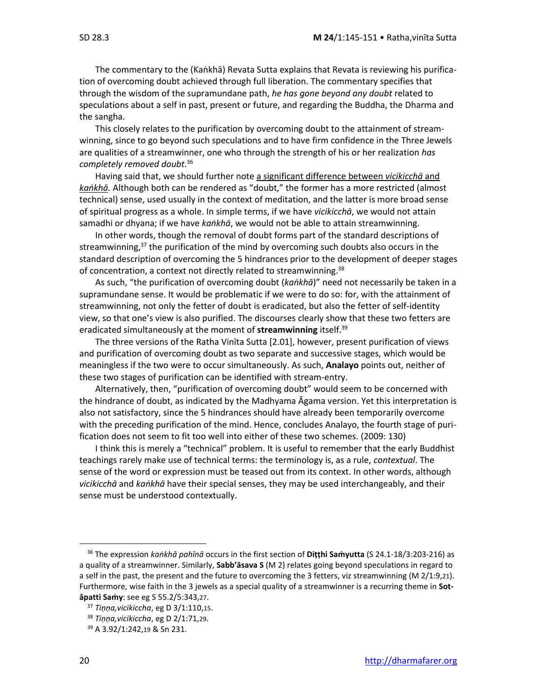The commentary to the (Kaṅkhā) Revata Sutta explains that Revata is reviewing his purification of overcoming doubt achieved through full liberation. The commentary specifies that through the wisdom of the supramundane path, *he has gone beyond any doubt* related to speculations about a self in past, present or future, and regarding the Buddha, the Dharma and the sangha.

This closely relates to the purification by overcoming doubt to the attainment of streamwinning, since to go beyond such speculations and to have firm confidence in the Three Jewels are qualities of a streamwinner, one who through the strength of his or her realization *has completely removed doubt*. 36

Having said that, we should further note a significant difference between *vicikicchā* and *kaṅkhā.* Although both can be rendered as "doubt," the former has a more restricted (almost technical) sense, used usually in the context of meditation, and the latter is more broad sense of spiritual progress as a whole. In simple terms, if we have *vicikicchā*, we would not attain samadhi or dhyana; if we have *kaṅkhā*, we would not be able to attain streamwinning.

In other words, though the removal of doubt forms part of the standard descriptions of streamwinning, <sup>37</sup> the purification of the mind by overcoming such doubts also occurs in the standard description of overcoming the 5 hindrances prior to the development of deeper stages of concentration, a context not directly related to streamwinning.<sup>38</sup>

As such, "the purification of overcoming doubt (*kaṅkhā*)" need not necessarily be taken in a supramundane sense. It would be problematic if we were to do so: for, with the attainment of streamwinning, not only the fetter of doubt is eradicated, but also the fetter of self-identity view, so that one's view is also purified. The discourses clearly show that these two fetters are eradicated simultaneously at the moment of **streamwinning** itself.<sup>39</sup>

The three versions of the Ratha Vinīta Sutta [2.01], however, present purification of views and purification of overcoming doubt as two separate and successive stages, which would be meaningless if the two were to occur simultaneously. As such, **Analayo** points out, neither of these two stages of purification can be identified with stream-entry.

Alternatively, then, "purification of overcoming doubt" would seem to be concerned with the hindrance of doubt, as indicated by the Madhyama Āgama version. Yet this interpretation is also not satisfactory, since the 5 hindrances should have already been temporarily overcome with the preceding purification of the mind. Hence, concludes Analayo, the fourth stage of purification does not seem to fit too well into either of these two schemes. (2009: 130)

I think this is merely a "technical" problem. It is useful to remember that the early Buddhist teachings rarely make use of technical terms: the terminology is, as a rule, *contextual*. The sense of the word or expression must be teased out from its context. In other words, although *vicikicchā* and *kaṅkhā* have their special senses, they may be used interchangeably, and their sense must be understood contextually.

<sup>36</sup> The expression *kaṅkhā pahīnā* occurs in the first section of **Diṭṭhi Saṁyutta** (S 24.1-18/3:203-216) as a quality of a streamwinner. Similarly, **Sabb'āsava S** (M 2) relates going beyond speculations in regard to a self in the past, the present and the future to overcoming the 3 fetters, viz streamwinning (M 2/1:9,21). Furthermore, wise faith in the 3 jewels as a special quality of a streamwinner is a recurring theme in **Sotâpatti Saṁy**: see eg S 55.2/5:343,27.

<sup>37</sup> *Tiṇṇa,vicikiccha*, eg D 3/1:110,15.

<sup>38</sup> *Tiṇṇa,vicikiccha*, eg D 2/1:71,29.

<sup>39</sup> A 3.92/1:242,19 & Sn 231.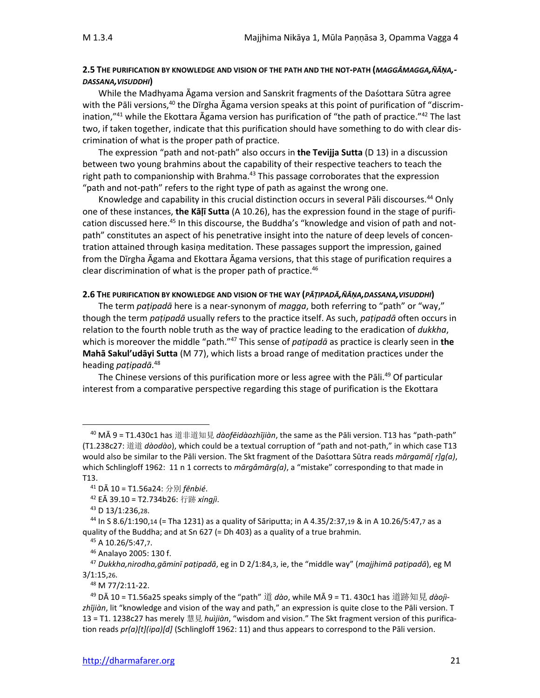### **2.5 THE PURIFICATION BY KNOWLEDGE AND VISION OF THE PATH AND THE NOT-PATH (***MAGGÂMAGGA,ÑĀṆA,- DASSANA,VISUDDHI***)**

While the Madhyama Āgama version and Sanskrit fragments of the Daśottara Sūtra agree with the Pāli versions,<sup>40</sup> the Dīrgha Āgama version speaks at this point of purification of "discrimination,"<sup>41</sup> while the Ekottara Āgama version has purification of "the path of practice."<sup>42</sup> The last two, if taken together, indicate that this purification should have something to do with clear discrimination of what is the proper path of practice.

The expression "path and not-path" also occurs in **the Tevijja Sutta** (D 13) in a discussion between two young brahmins about the capability of their respective teachers to teach the right path to companionship with Brahma.<sup>43</sup> This passage corroborates that the expression "path and not-path" refers to the right type of path as against the wrong one.

Knowledge and capability in this crucial distinction occurs in several Pāli discourses.<sup>44</sup> Only one of these instances, **the Kāḷī Sutta** (A 10.26), has the expression found in the stage of purification discussed here.<sup>45</sup> In this discourse, the Buddha's "knowledge and vision of path and notpath" constitutes an aspect of his penetrative insight into the nature of deep levels of concentration attained through kasiṇa meditation. These passages support the impression, gained from the Dīrgha Āgama and Ekottara Āgama versions, that this stage of purification requires a clear discrimination of what is the proper path of practice.<sup>46</sup>

#### **2.6 THE PURIFICATION BY KNOWLEDGE AND VISION OF THE WAY (***PĀṬIPADĀ,ÑĀṆA,DASSANA,VISUDDHI***)**

The term *paṭipadā* here is a near-synonym of *magga*, both referring to "path" or "way," though the term *paṭipadā* usually refers to the practice itself. As such, *paṭipadā* often occurs in relation to the fourth noble truth as the way of practice leading to the eradication of *dukkha*, which is moreover the middle "path." <sup>47</sup> This sense of *paṭipadā* as practice is clearly seen in **the Mahā Sakul'udāyi Sutta** (M 77), which lists a broad range of meditation practices under the heading *paṭipadā*. 48

The Chinese versions of this purification more or less agree with the Pali.<sup>49</sup> Of particular interest from a comparative perspective regarding this stage of purification is the Ekottara

<sup>40</sup> MĀ 9 = T1.430c1 has 道非道知見 *dàofēidàozhījiàn*, the same as the Pāli version. T13 has "path-path" (T1.238c27: 道道 *dàodào*), which could be a textual corruption of "path and not-path," in which case T13 would also be similar to the Pāli version. The Skt fragment of the Daśottara Sūtra reads *mārgamā[ r]g(a)*, which Schlingloff 1962: 11 n 1 corrects to *mārgâmārg(a)*, a "mistake" corresponding to that made in T13.

<sup>41</sup> DĀ 10 = T1.56a24: 分別 *fēnbié*.

<sup>42</sup> EĀ 39.10 = T2.734b26: 行跡 *xíngjì*.

<sup>43</sup> D 13/1:236,28.

 $44$  In S 8.6/1:190,14 (= Tha 1231) as a quality of Sāriputta; in A 4.35/2:37,19 & in A 10.26/5:47,7 as a quality of the Buddha; and at Sn 627 (= Dh 403) as a quality of a true brahmin.

<sup>45</sup> A 10.26/5:47,7.

<sup>46</sup> Analayo 2005: 130 f.

<sup>47</sup> *Dukkha,nirodha,gāminī paṭipadā*, eg in D 2/1:84,3, ie, the "middle way" (*majjhimā paṭipadā*), eg M 3/1:15,26.

<sup>48</sup> M 77/2:11-22.

<sup>49</sup> DĀ 10 = T1.56a25 speaks simply of the "path" 道 *dào*, while MĀ 9 = T1. 430c1 has 道跡知見 *dàojìzhījiàn*, lit "knowledge and vision of the way and path," an expression is quite close to the Pāli version. T 13 = T1. 1238c27 has merely 慧見 *huìjiàn*, "wisdom and vision." The Skt fragment version of this purification reads *pr(a)[t](ipa)[d]* (Schlingloff 1962: 11) and thus appears to correspond to the Pāli version.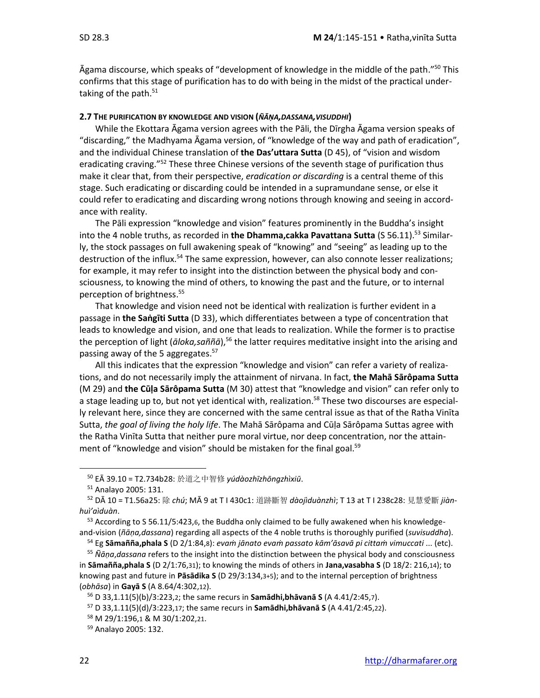Āgama discourse, which speaks of "development of knowledge in the middle of the path." <sup>50</sup> This confirms that this stage of purification has to do with being in the midst of the practical undertaking of the path. $51$ 

#### **2.7 THE PURIFICATION BY KNOWLEDGE AND VISION (***ÑĀṆA,DASSANA,VISUDDHI***)**

While the Ekottara Āgama version agrees with the Pāli, the Dīrgha Āgama version speaks of "discarding," the Madhyama Āgama version, of "knowledge of the way and path of eradication", and the individual Chinese translation of **the Das'uttara Sutta** (D 45), of "vision and wisdom eradicating craving.<sup>"52</sup> These three Chinese versions of the seventh stage of purification thus make it clear that, from their perspective, *eradication or discarding* is a central theme of this stage. Such eradicating or discarding could be intended in a supramundane sense, or else it could refer to eradicating and discarding wrong notions through knowing and seeing in accordance with reality.

The Pāli expression "knowledge and vision" features prominently in the Buddha's insight into the 4 noble truths, as recorded in **the Dhamma,cakka Pavattana Sutta** (S 56.11). <sup>53</sup> Similarly, the stock passages on full awakening speak of "knowing" and "seeing" as leading up to the destruction of the influx.<sup>54</sup> The same expression, however, can also connote lesser realizations; for example, it may refer to insight into the distinction between the physical body and consciousness, to knowing the mind of others, to knowing the past and the future, or to internal perception of brightness. 55

That knowledge and vision need not be identical with realization is further evident in a passage in **the Saṅgīti Sutta** (D 33), which differentiates between a type of concentration that leads to knowledge and vision, and one that leads to realization. While the former is to practise the perception of light (*āloka,saññā*),<sup>56</sup> the latter requires meditative insight into the arising and passing away of the 5 aggregates.<sup>57</sup>

All this indicates that the expression "knowledge and vision" can refer a variety of realizations, and do not necessarily imply the attainment of nirvana. In fact, **the Mahā Sārôpama Sutta** (M 29) and **the Cūḷa Sārôpama Sutta** (M 30) attest that "knowledge and vision" can refer only to a stage leading up to, but not yet identical with, realization.<sup>58</sup> These two discourses are especially relevant here, since they are concerned with the same central issue as that of the Ratha Vinīta Sutta, *the goal of living the holy life*. The Mahā Sārôpama and Cūḷa Sārôpama Suttas agree with the Ratha Vinīta Sutta that neither pure moral virtue, nor deep concentration, nor the attainment of "knowledge and vision" should be mistaken for the final goal.<sup>59</sup>

<sup>50</sup> EĀ 39.10 = T2.734b28: 於道之中智修 *yúdàozhīzhōngzhìxiū*.

<sup>51</sup> Analayo 2005: 131.

<sup>52</sup> DĀ 10 = T1.56a25: 除 *chú*; MĀ 9 at T I 430c1: 道跡斷智 *dàojìduànzhì*; T 13 at T I 238c28: 見慧愛斷 *jiànhuì'aìduàn*.

<sup>53</sup> According to S 56.11/5:423,6, the Buddha only claimed to be fully awakened when his knowledgeand-vision (*ñāṇa,dassana*) regarding all aspects of the 4 noble truths is thoroughly purified (*suvisuddha*).

<sup>54</sup> Eg **Sāmañña,phala S** (D 2/1:84,8): *evaṁ jānato evaṁ passato kām'āsavā pi cittaṁ vimuccati* ... (etc).

<sup>55</sup> *Ñāṇa*,*dassana* refers to the insight into the distinction between the physical body and consciousness in **Sāmañña,phala S** (D 2/1:76,31); to knowing the minds of others in **Jana,vasabha S** (D 18/2: 216,14); to knowing past and future in **Pāsādika S** (D 29/3:134,3+5); and to the internal perception of brightness (*obhāsa*) in **Gayā S** (A 8.64/4:302,12).

<sup>56</sup> D 33,1.11(5)(b)/3:223,2; the same recurs in **Samādhi,bhāvanā S** (A 4.41/2:45,7).

<sup>57</sup> D 33,1.11(5)(d)/3:223,17; the same recurs in **Samādhi,bhāvanā S** (A 4.41/2:45,22).

<sup>58</sup> M 29/1:196,1 & M 30/1:202,21.

<sup>59</sup> Analayo 2005: 132.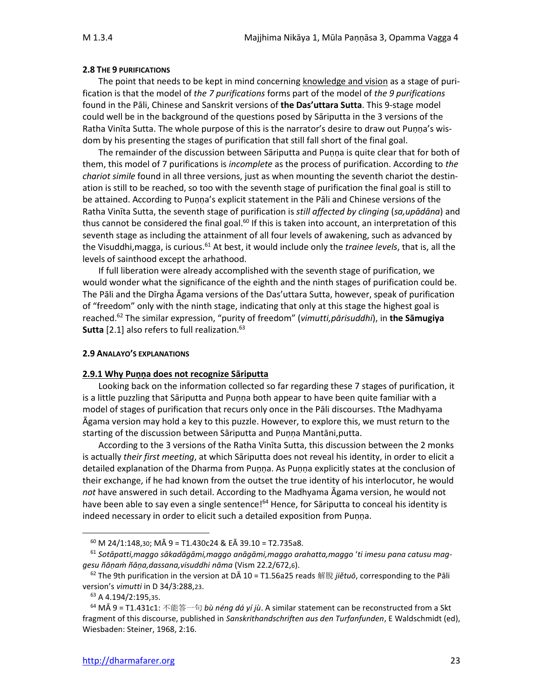### **2.8 THE 9 PURIFICATIONS**

The point that needs to be kept in mind concerning knowledge and vision as a stage of purification is that the model of *the 7 purifications* forms part of the model of *the 9 purifications* found in the Pāli, Chinese and Sanskrit versions of **the Das'uttara Sutta**. This 9-stage model could well be in the background of the questions posed by Sāriputta in the 3 versions of the Ratha Vinīta Sutta. The whole purpose of this is the narrator's desire to draw out Puṇṇa's wisdom by his presenting the stages of purification that still fall short of the final goal.

The remainder of the discussion between Sāriputta and Puṇṇa is quite clear that for both of them, this model of 7 purifications is *incomplete* as the process of purification. According to *the chariot simile* found in all three versions, just as when mounting the seventh chariot the destination is still to be reached, so too with the seventh stage of purification the final goal is still to be attained. According to Puṇṇa's explicit statement in the Pāli and Chinese versions of the Ratha Vinīta Sutta, the seventh stage of purification is *still affected by clinging* (*sa,upādāna*) and thus cannot be considered the final goal.<sup>60</sup> If this is taken into account, an interpretation of this seventh stage as including the attainment of all four levels of awakening, such as advanced by the Visuddhi,magga, is curious.<sup>61</sup> At best, it would include only the *trainee levels*, that is, all the levels of sainthood except the arhathood.

If full liberation were already accomplished with the seventh stage of purification, we would wonder what the significance of the eighth and the ninth stages of purification could be. The Pāli and the Dīrgha Āgama versions of the Das'uttara Sutta, however, speak of purification of "freedom" only with the ninth stage, indicating that only at this stage the highest goal is reached.<sup>62</sup> The similar expression, "purity of freedom" (*vimutti,pārisuddhi*), in **the Sāmugiya Sutta** [2.1] also refers to full realization.<sup>63</sup>

### **2.9 ANALAYO'S EXPLANATIONS**

### **2.9.1 Why Puṇṇa does not recognize Sāriputta**

Looking back on the information collected so far regarding these 7 stages of purification, it is a little puzzling that Sāriputta and Puṇṇa both appear to have been quite familiar with a model of stages of purification that recurs only once in the Pāli discourses. Tthe Madhyama Āgama version may hold a key to this puzzle. However, to explore this, we must return to the starting of the discussion between Sāriputta and Puṇṇa Mantāni,putta.

According to the 3 versions of the Ratha Vinīta Sutta, this discussion between the 2 monks is actually *their first meeting*, at which Sāriputta does not reveal his identity, in order to elicit a detailed explanation of the Dharma from Puṇṇa. As Puṇṇa explicitly states at the conclusion of their exchange, if he had known from the outset the true identity of his interlocutor, he would *not* have answered in such detail. According to the Madhyama Āgama version, he would not have been able to say even a single sentence!<sup>64</sup> Hence, for Sāriputta to conceal his identity is indeed necessary in order to elicit such a detailed exposition from Puṇṇa.

 $^{60}$  M 24/1:148,30; MÅ 9 = T1.430c24 & EÅ 39.10 = T2.735a8.

<sup>61</sup> *Sotāpatti,maggo sākadāgāmi,maggo anāgāmi,maggo arahatta,maggo* '*ti imesu pana catusu maggesu ñāṇaṁ ñāṇa,dassana,visuddhi nāma* (Vism 22.2/672,6).

<sup>62</sup> The 9th purification in the version at DĀ 10 = T1.56a25 reads 解脫 *jiětuō*, corresponding to the Pāli version's *vimutti* in D 34/3:288,23.

<sup>63</sup> A 4.194/2:195,35.

<sup>64</sup> MĀ 9 = T1.431c1: 不能答一句 *bù néng dá yí jù*. A similar statement can be reconstructed from a Skt fragment of this discourse, published in *Sanskrithandschriften aus den Turfanfunden*, E Waldschmidt (ed), Wiesbaden: Steiner, 1968, 2:16.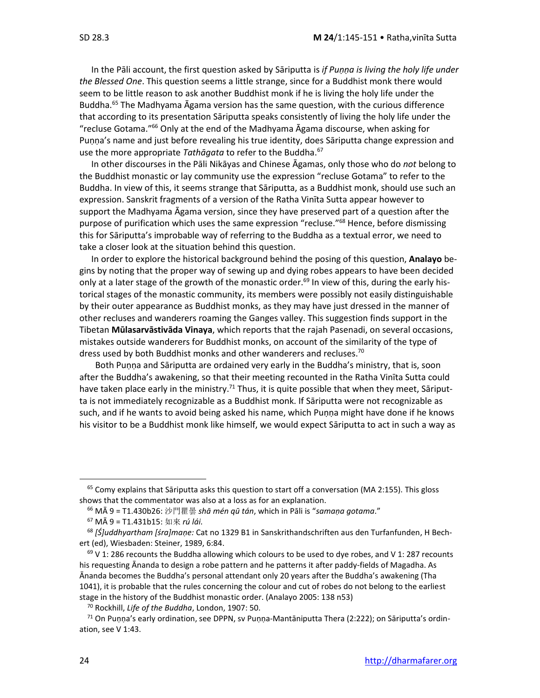In the Pāli account, the first question asked by Sāriputta is *if Puṇṇa is living the holy life under the Blessed One*. This question seems a little strange, since for a Buddhist monk there would seem to be little reason to ask another Buddhist monk if he is living the holy life under the Buddha. <sup>65</sup> The Madhyama Āgama version has the same question, with the curious difference that according to its presentation Sāriputta speaks consistently of living the holy life under the "recluse Gotama."<sup>66</sup> Only at the end of the Madhyama Agama discourse, when asking for Puṇṇa's name and just before revealing his true identity, does Sāriputta change expression and use the more appropriate *Tathāgata* to refer to the Buddha. 67

In other discourses in the Pāli Nikāyas and Chinese Āgamas, only those who do *not* belong to the Buddhist monastic or lay community use the expression "recluse Gotama" to refer to the Buddha. In view of this, it seems strange that Sāriputta, as a Buddhist monk, should use such an expression. Sanskrit fragments of a version of the Ratha Vinīta Sutta appear however to support the Madhyama Āgama version, since they have preserved part of a question after the purpose of purification which uses the same expression "recluse."<sup>68</sup> Hence, before dismissing this for Sāriputta's improbable way of referring to the Buddha as a textual error, we need to take a closer look at the situation behind this question.

In order to explore the historical background behind the posing of this question, **Analayo** begins by noting that the proper way of sewing up and dying robes appears to have been decided only at a later stage of the growth of the monastic order.<sup>69</sup> In view of this, during the early historical stages of the monastic community, its members were possibly not easily distinguishable by their outer appearance as Buddhist monks, as they may have just dressed in the manner of other recluses and wanderers roaming the Ganges valley. This suggestion finds support in the Tibetan **Mūlasarvāstivāda Vinaya**, which reports that the rajah Pasenadi, on several occasions, mistakes outside wanderers for Buddhist monks, on account of the similarity of the type of dress used by both Buddhist monks and other wanderers and recluses.<sup>70</sup>

Both Puṇṇa and Sāriputta are ordained very early in the Buddha's ministry, that is, soon after the Buddha's awakening, so that their meeting recounted in the Ratha Vinīta Sutta could have taken place early in the ministry.<sup>71</sup> Thus, it is quite possible that when they meet, Sāriputta is not immediately recognizable as a Buddhist monk. If Sāriputta were not recognizable as such, and if he wants to avoid being asked his name, which Puṇṇa might have done if he knows his visitor to be a Buddhist monk like himself, we would expect Sāriputta to act in such a way as

<sup>&</sup>lt;sup>65</sup> Comy explains that Sāriputta asks this question to start off a conversation (MA 2:155). This gloss shows that the commentator was also at a loss as for an explanation.

<sup>66</sup> MĀ 9 = T1.430b26: 沙門瞿曇 *shā mén qū tán*, which in Pāli is "*samaṇa gotama*."

<sup>67</sup> MĀ 9 = T1.431b15: 如來 *rú lái.*

<sup>68</sup> *[Ś]uddhyartham [śra]maṇe:* Cat no 1329 B1 in Sanskrithandschriften aus den Turfanfunden, H Bechert (ed), Wiesbaden: Steiner, 1989, 6:84.

 $69$  V 1: 286 recounts the Buddha allowing which colours to be used to dye robes, and V 1: 287 recounts his requesting Ānanda to design a robe pattern and he patterns it after paddy-fields of Magadha. As Ānanda becomes the Buddha's personal attendant only 20 years after the Buddha's awakening (Tha 1041), it is probable that the rules concerning the colour and cut of robes do not belong to the earliest stage in the history of the Buddhist monastic order. (Analayo 2005: 138 n53)

<sup>70</sup> Rockhill, *Life of the Buddha*, London, 1907: 50.

 $71$  On Punna's early ordination, see DPPN, sv Punna-Mantāniputta Thera (2:222); on Sāriputta's ordination, see V 1:43.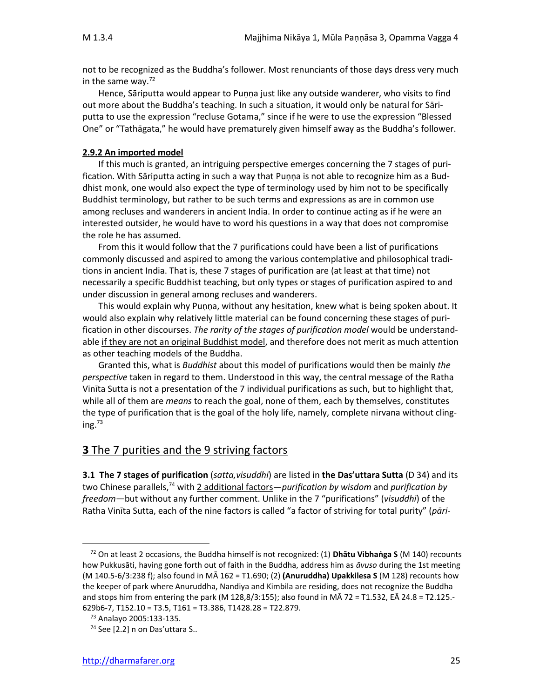not to be recognized as the Buddha's follower. Most renunciants of those days dress very much in the same way. $72$ 

Hence, Sāriputta would appear to Puṇṇa just like any outside wanderer, who visits to find out more about the Buddha's teaching. In such a situation, it would only be natural for Sāriputta to use the expression "recluse Gotama," since if he were to use the expression "Blessed One" or "Tathāgata," he would have prematurely given himself away as the Buddha's follower.

#### **2.9.2 An imported model**

If this much is granted, an intriguing perspective emerges concerning the 7 stages of purification. With Sāriputta acting in such a way that Puṇṇa is not able to recognize him as a Buddhist monk, one would also expect the type of terminology used by him not to be specifically Buddhist terminology, but rather to be such terms and expressions as are in common use among recluses and wanderers in ancient India. In order to continue acting as if he were an interested outsider, he would have to word his questions in a way that does not compromise the role he has assumed.

From this it would follow that the 7 purifications could have been a list of purifications commonly discussed and aspired to among the various contemplative and philosophical traditions in ancient India. That is, these 7 stages of purification are (at least at that time) not necessarily a specific Buddhist teaching, but only types or stages of purification aspired to and under discussion in general among recluses and wanderers.

This would explain why Puṇṇa, without any hesitation, knew what is being spoken about. It would also explain why relatively little material can be found concerning these stages of purification in other discourses. *The rarity of the stages of purification model* would be understandable if they are not an original Buddhist model, and therefore does not merit as much attention as other teaching models of the Buddha.

Granted this, what is *Buddhist* about this model of purifications would then be mainly *the perspective* taken in regard to them. Understood in this way, the central message of the Ratha Vinīta Sutta is not a presentation of the 7 individual purifications as such, but to highlight that, while all of them are *means* to reach the goal, none of them, each by themselves, constitutes the type of purification that is the goal of the holy life, namely, complete nirvana without clinging. $^{73}$ 

### **3** The 7 purities and the 9 striving factors

**3.1 The 7 stages of purification** (*satta,visuddhi*) are listed in **the Das'uttara Sutta** (D 34) and its two Chinese parallels,<sup>74</sup> with 2 additional factors—*purification by wisdom* and *purification by freedom*—but without any further comment. Unlike in the 7 "purifications" (*visuddhi*) of the Ratha Vinīta Sutta, each of the nine factors is called "a factor of striving for total purity" (*pāri-*

<sup>72</sup> On at least 2 occasions, the Buddha himself is not recognized: (1) **Dhātu Vibhaṅga S** (M 140) recounts how Pukkusāti, having gone forth out of faith in the Buddha, address him as *āvuso* during the 1st meeting (M 140.5-6/3:238 f); also found in MĀ 162 = T1.690; (2) **(Anuruddha) Upakkilesa S** (M 128) recounts how the keeper of park where Anuruddha, Nandiya and Kimbila are residing, does not recognize the Buddha and stops him from entering the park (M 128,8/3:155); also found in MĀ 72 = T1.532, EĀ 24.8 = T2.125.- 629b6-7, T152.10 = T3.5, T161 = T3.386, T1428.28 = T22.879.

<sup>73</sup> Analayo 2005:133-135.

<sup>74</sup> See [2.2] n on Das'uttara S..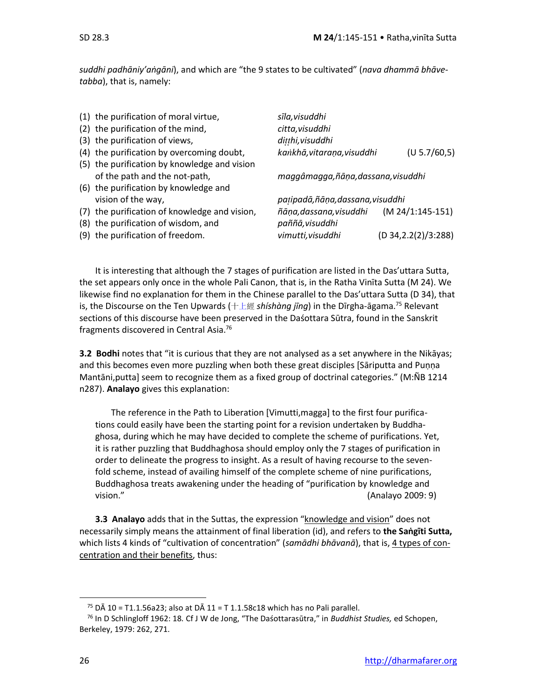*suddhi padhāniy'aṅgāni*), and which are "the 9 states to be cultivated" (*nava dhammā bhāvetabba*), that is, namely:

| (1) the purification of moral virtue,         | sīla, visuddhi                    |                       |
|-----------------------------------------------|-----------------------------------|-----------------------|
| (2) the purification of the mind,             | citta, visuddhi                   |                       |
| (3) the purification of views,                | ditthi, visuddhi                  |                       |
| (4) the purification by overcoming doubt,     | kankhā, vitaraņa, visuddhi        | (U 5.7/60, 5)         |
| (5) the purification by knowledge and vision  |                                   |                       |
| of the path and the not-path,                 | maggâmagga,ñāṇa,dassana,visuddhi  |                       |
| (6) the purification by knowledge and         |                                   |                       |
| vision of the way,                            | patipadā, ñāņa, dassana, visuddhi |                       |
| (7) the purification of knowledge and vision, | ñāna, dassana, visuddhi           | $(M 24/1:145-151)$    |
| (8) the purification of wisdom, and           | paññā, visuddhi                   |                       |
| (9) the purification of freedom.              | vimutti, visuddhi                 | (D 34, 2.2(2)/3: 288) |

It is interesting that although the 7 stages of purification are listed in the Das'uttara Sutta, the set appears only once in the whole Pali Canon, that is, in the Ratha Vinīta Sutta (M 24). We likewise find no explanation for them in the Chinese parallel to the Das'uttara Sutta (D 34), that is, the Discourse on the Ten Upwards ([十上經](http://usa.mdbg.net/chindict/chindict.php?cdqchi=%E4%B8%8A) *shíshàng jīng*) in the Dīrgha-āgama.<sup>75</sup> Relevant sections of this discourse have been preserved in the Daśottara Sūtra, found in the Sanskrit fragments discovered in Central Asia.<sup>76</sup>

**3.2 Bodhi** notes that "it is curious that they are not analysed as a set anywhere in the Nikāyas; and this becomes even more puzzling when both these great disciples [Sāriputta and Puṇṇa Mantāni, putta] seem to recognize them as a fixed group of doctrinal categories." (M:ÑB 1214 n287). **Analayo** gives this explanation:

The reference in the Path to Liberation [Vimutti,magga] to the first four purifications could easily have been the starting point for a revision undertaken by Buddhaghosa, during which he may have decided to complete the scheme of purifications. Yet, it is rather puzzling that Buddhaghosa should employ only the 7 stages of purification in order to delineate the progress to insight. As a result of having recourse to the sevenfold scheme, instead of availing himself of the complete scheme of nine purifications, Buddhaghosa treats awakening under the heading of "purification by knowledge and vision." (Analayo 2009: 9)

**3.3 Analayo** adds that in the Suttas, the expression "knowledge and vision" does not necessarily simply means the attainment of final liberation (id), and refers to **the Saṅgīti Sutta,** which lists 4 kinds of "cultivation of concentration" (*samādhi bhāvanā*), that is, 4 types of concentration and their benefits, thus:

<sup>&</sup>lt;sup>75</sup> D $\bar{A}$  10 = T1.1.56a23; also at D $\bar{A}$  11 = T 1.1.58c18 which has no Pali parallel.

<sup>76</sup> In D Schlingloff 1962: 18*.* Cf J W de Jong, "The Daśottarasūtra," in *Buddhist Studies,* ed Schopen, Berkeley, 1979: 262, 271.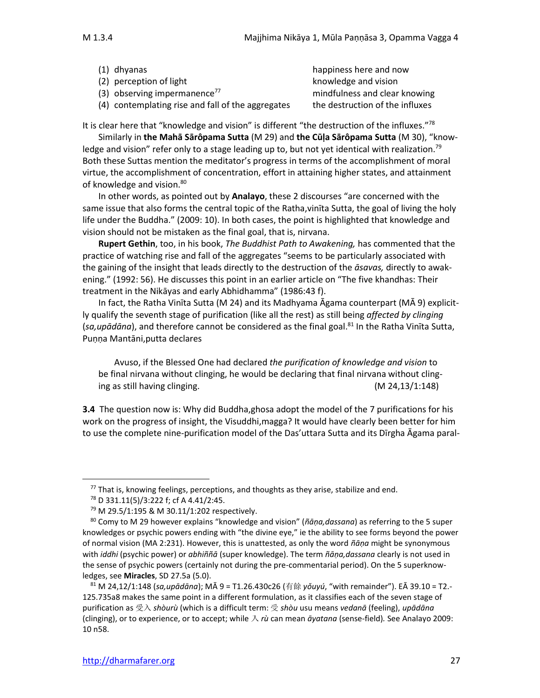| $(1)$ dhyanas                                     | happiness here and now          |
|---------------------------------------------------|---------------------------------|
| (2) perception of light                           | knowledge and vision            |
| (3) observing impermanence <sup>77</sup>          | mindfulness and clear knowing   |
| (4) contemplating rise and fall of the aggregates | the destruction of the influxes |

It is clear here that "knowledge and vision" is different "the destruction of the influxes."<sup>78</sup>

Similarly in **the Mahā Sārôpama Sutta** (M 29) and **the Cūḷa Sārôpama Sutta** (M 30), "knowledge and vision" refer only to a stage leading up to, but not yet identical with realization.<sup>79</sup> Both these Suttas mention the meditator's progress in terms of the accomplishment of moral virtue, the accomplishment of concentration, effort in attaining higher states, and attainment of knowledge and vision.<sup>80</sup>

In other words, as pointed out by **Analayo**, these 2 discourses "are concerned with the same issue that also forms the central topic of the Ratha,vinīta Sutta, the goal of living the holy life under the Buddha." (2009: 10). In both cases, the point is highlighted that knowledge and vision should not be mistaken as the final goal, that is, nirvana.

**Rupert Gethin**, too, in his book, *The Buddhist Path to Awakening,* has commented that the practice of watching rise and fall of the aggregates "seems to be particularly associated with the gaining of the insight that leads directly to the destruction of the *āsavas,* directly to awakening." (1992: 56). He discusses this point in an earlier article on "The five khandhas: Their treatment in the Nikāyas and early Abhidhamma" (1986:43 f).

In fact, the Ratha Vinīta Sutta (M 24) and its Madhyama Āgama counterpart (MĀ 9) explicitly qualify the seventh stage of purification (like all the rest) as still being *affected by clinging* (*sa,upādāna*), and therefore cannot be considered as the final goal.<sup>81</sup> In the Ratha Vinīta Sutta, Puṇṇa Mantāni,putta declares

Avuso, if the Blessed One had declared *the purification of knowledge and vision* to be final nirvana without clinging, he would be declaring that final nirvana without clinging as still having clinging. (M 24,13/1:148)

**3.4** The question now is: Why did Buddha,ghosa adopt the model of the 7 purifications for his work on the progress of insight, the Visuddhi,magga? It would have clearly been better for him to use the complete nine-purification model of the Das'uttara Sutta and its Dīrgha Āgama paral-

 $77$  That is, knowing feelings, perceptions, and thoughts as they arise, stabilize and end.

<sup>78</sup> D 331.11(5)/3:222 f; cf A 4.41/2:45.

<sup>79</sup> M 29.5/1:195 & M 30.11/1:202 respectively.

<sup>80</sup> Comy to M 29 however explains "knowledge and vision" (*ñāṇa,dassana*) as referring to the 5 super knowledges or psychic powers ending with "the divine eye," ie the ability to see forms beyond the power of normal vision (MA 2:231). However, this is unattested, as only the word *ñāṇa* might be synonymous with *iddhi* (psychic power) or *abhiññā* (super knowledge). The term *ñāṇa,dassana* clearly is not used in the sense of psychic powers (certainly not during the pre-commentarial period). On the 5 superknowledges, see **Miracles**, SD 27.5a (5.0).

<sup>81</sup> M 24,12/1:148 (*sa,upādāna*); MĀ 9 = T1.26.430c26 (有餘 *yǒuyú*, "with remainder"). EĀ 39.10 = T2.- 125.735a8 makes the same point in a different formulation, as it classifies each of the seven stage of purification as 受入 *shòurù* (which is a difficult term: 受 *shòu* usu means *vedanā* (feeling), *upādāna*  (clinging), or to experience, or to accept; while 入 *rù* can mean *āyatana* (sense-field)*.* See Analayo 2009: 10 n58.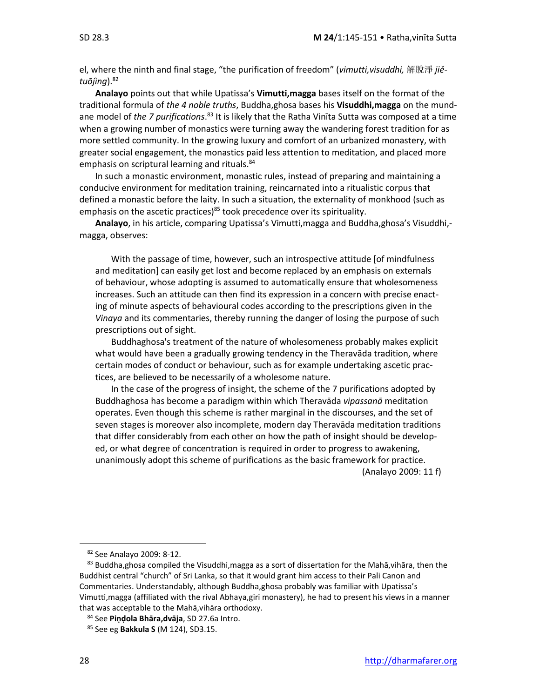el, where the ninth and final stage, "the purification of freedom" (*vimutti,visuddhi,* 解脫淨 *jiětuōjìng*). 82

**Analayo** points out that while Upatissa's **Vimutti,magga** bases itself on the format of the traditional formula of *the 4 noble truths*, Buddha,ghosa bases his **Visuddhi,magga** on the mundane model of *the 7 purifications*.<sup>83</sup> It is likely that the Ratha Vinīta Sutta was composed at a time when a growing number of monastics were turning away the wandering forest tradition for as more settled community. In the growing luxury and comfort of an urbanized monastery, with greater social engagement, the monastics paid less attention to meditation, and placed more emphasis on scriptural learning and rituals.<sup>84</sup>

In such a monastic environment, monastic rules, instead of preparing and maintaining a conducive environment for meditation training, reincarnated into a ritualistic corpus that defined a monastic before the laity. In such a situation, the externality of monkhood (such as emphasis on the ascetic practices) $85$  took precedence over its spirituality.

**Analayo**, in his article, comparing Upatissa's Vimutti,magga and Buddha,ghosa's Visuddhi, magga, observes:

With the passage of time, however, such an introspective attitude [of mindfulness and meditation] can easily get lost and become replaced by an emphasis on externals of behaviour, whose adopting is assumed to automatically ensure that wholesomeness increases. Such an attitude can then find its expression in a concern with precise enacting of minute aspects of behavioural codes according to the prescriptions given in the *Vinaya* and its commentaries, thereby running the danger of losing the purpose of such prescriptions out of sight.

Buddhaghosa's treatment of the nature of wholesomeness probably makes explicit what would have been a gradually growing tendency in the Theravāda tradition, where certain modes of conduct or behaviour, such as for example undertaking ascetic practices, are believed to be necessarily of a wholesome nature.

In the case of the progress of insight, the scheme of the 7 purifications adopted by Buddhaghosa has become a paradigm within which Theravāda *vipassanā* meditation operates. Even though this scheme is rather marginal in the discourses, and the set of seven stages is moreover also incomplete, modern day Theravāda meditation traditions that differ considerably from each other on how the path of insight should be developed, or what degree of concentration is required in order to progress to awakening, unanimously adopt this scheme of purifications as the basic framework for practice.

(Analayo 2009: 11 f)

<sup>82</sup> See Analayo 2009: 8-12.

<sup>83</sup> Buddha,ghosa compiled the Visuddhi, magga as a sort of dissertation for the Mahā, vihāra, then the Buddhist central "church" of Sri Lanka, so that it would grant him access to their Pali Canon and Commentaries. Understandably, although Buddha,ghosa probably was familiar with Upatissa's Vimutti,magga (affiliated with the rival Abhaya,giri monastery), he had to present his views in a manner that was acceptable to the Mahā,vihāra orthodoxy.

<sup>84</sup> See **Piṇḍola Bhāra,dvāja**, SD 27.6a Intro.

<sup>85</sup> See eg **Bakkula S** (M 124), SD3.15.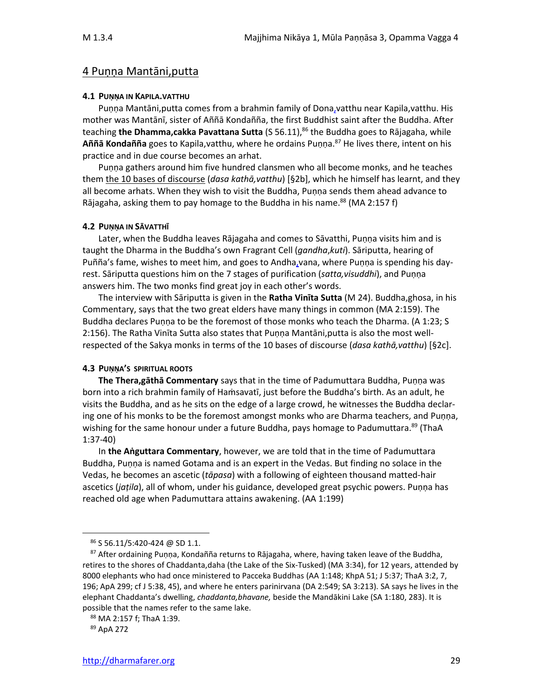### 4 Puṇṇa Mantāni,putta

#### **4.1 PUṆṆA IN KAPILA.VATTHU**

Puṇṇa Mantāni,putta comes from a brahmin family of Dona,vatthu near Kapila,vatthu. His mother was Mantānī, sister of Aññā Kondañña, the first Buddhist saint after the Buddha. After teaching **the Dhamma,cakka Pavattana Sutta** (S 56.11), <sup>86</sup> the Buddha goes to Rājagaha, while **Aññā Kondañña** goes to Kapila,vatthu, where he ordains Puṇṇa.<sup>87</sup> He lives there, intent on his practice and in due course becomes an arhat.

Puṇṇa gathers around him five hundred clansmen who all become monks, and he teaches them the 10 bases of discourse (*dasa kathā,vatthu*) [§2b], which he himself has learnt, and they all become arhats. When they wish to visit the Buddha, Puṇṇa sends them ahead advance to Rājagaha, asking them to pay homage to the Buddha in his name.<sup>88</sup> (MA 2:157 f)

#### **4.2 PUṆṆA IN SĀVATTHĪ**

Later, when the Buddha leaves Rājagaha and comes to Sāvatthi, Puṇṇa visits him and is taught the Dharma in the Buddha's own Fragrant Cell (*gandha*,*kuti*). Sāriputta, hearing of Puñña's fame, wishes to meet him, and goes to Andha,vana, where Puṇṇa is spending his dayrest. Sāriputta questions him on the 7 stages of purification (*satta,visuddhi*), and Puṇṇa answers him. The two monks find great joy in each other's words.

The interview with Sāriputta is given in the **Ratha Vinīta Sutta** (M 24). Buddha,ghosa, in his Commentary, says that the two great elders have many things in common (MA 2:159). The Buddha declares Puṇṇa to be the foremost of those monks who teach the Dharma. (A 1:23; S 2:156). The Ratha Vinīta Sutta also states that Puṇṇa Mantāni,putta is also the most wellrespected of the Sakya monks in terms of the 10 bases of discourse (*dasa kathā,vatthu*) [§2c].

### **4.3 PUṆṆA'S SPIRITUAL ROOTS**

**The Thera,gāthā Commentary** says that in the time of Padumuttara Buddha, Puṇṇa was born into a rich brahmin family of Hamsavatī, just before the Buddha's birth. As an adult, he visits the Buddha, and as he sits on the edge of a large crowd, he witnesses the Buddha declaring one of his monks to be the foremost amongst monks who are Dharma teachers, and Puṇṇa, wishing for the same honour under a future Buddha, pays homage to Padumuttara.<sup>89</sup> (ThaA 1:37-40)

In **the Aṅguttara Commentary**, however, we are told that in the time of Padumuttara Buddha, Puṇṇa is named Gotama and is an expert in the Vedas. But finding no solace in the Vedas, he becomes an ascetic (*tāpasa*) with a following of eighteen thousand matted-hair ascetics (*jaṭila*), all of whom, under his guidance, developed great psychic powers. Puṇṇa has reached old age when Padumuttara attains awakening. (AA 1:199)

<sup>86</sup> S 56.11/5:420-424 @ SD 1.1.

<sup>87</sup> After ordaining Puṇṇa, Kondañña returns to Rājagaha, where, having taken leave of the Buddha, retires to the shores of Chaddanta,daha (the Lake of the Six-Tusked) (MA 3:34), for 12 years, attended by 8000 elephants who had once ministered to Pacceka Buddhas (AA 1:148; KhpA 51; J 5:37; ThaA 3:2, 7, 196; ApA 299; cf J 5:38, 45), and where he enters parinirvana (DA 2:549; SA 3:213). SA says he lives in the elephant Chaddanta's dwelling, *chaddanta,bhavane,* beside the Mandākini Lake (SA 1:180, 283). It is possible that the names refer to the same lake.

<sup>88</sup> MA 2:157 f; ThaA 1:39.

<sup>89</sup> ApA 272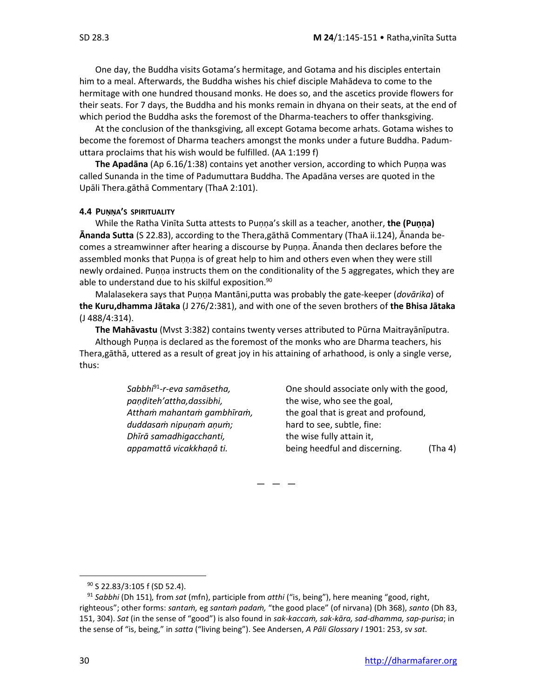One day, the Buddha visits Gotama's hermitage, and Gotama and his disciples entertain him to a meal. Afterwards, the Buddha wishes his chief disciple Mahādeva to come to the hermitage with one hundred thousand monks. He does so, and the ascetics provide flowers for their seats. For 7 days, the Buddha and his monks remain in dhyana on their seats, at the end of which period the Buddha asks the foremost of the Dharma-teachers to offer thanksgiving.

At the conclusion of the thanksgiving, all except Gotama become arhats. Gotama wishes to become the foremost of Dharma teachers amongst the monks under a future Buddha. Padumuttara proclaims that his wish would be fulfilled. (AA 1:199 f)

**The Apadāna** (Ap 6.16/1:38) contains yet another version, according to which Puṇṇa was called Sunanda in the time of Padumuttara Buddha. The Apadāna verses are quoted in the Upāli Thera.gāthā Commentary (ThaA 2:101).

#### **4.4 PUṆṆA'S SPIRITUALITY**

While the Ratha Vinīta Sutta attests to Puṇṇa's skill as a teacher, another, **the (Puṇṇa) Ānanda Sutta** (S 22.83), according to the Thera,gāthā Commentary (ThaA ii.124), Ānanda becomes a streamwinner after hearing a discourse by Puṇṇa. Ānanda then declares before the assembled monks that Puṇṇa is of great help to him and others even when they were still newly ordained. Puṇṇa instructs them on the conditionality of the 5 aggregates, which they are able to understand due to his skilful exposition.<sup>90</sup>

Malalasekera says that Puṇṇa Mantāni,putta was probably the gate-keeper (*dovārika*) of **the Kuru,dhamma Jātaka** (J 276/2:381), and with one of the seven brothers of **the Bhisa Jātaka** (J 488/4:314).

**The Mahāvastu** (Mvst 3:382) contains twenty verses attributed to Pūrna Maitrayānīputra. Although Puṇṇa is declared as the foremost of the monks who are Dharma teachers, his Thera,gāthā, uttered as a result of great joy in his attaining of arhathood, is only a single verse, thus:

> Sabbhi<sup>91</sup>-r-eva samāsetha, *paṇḍiteh'attha,dassibhi,* the wise, who see the goal, *duddasaṁ nipuṇaṁ aṇuṁ;* hard to see, subtle, fine: *Dhīrā samadhigacchanti,* the wise fully attain it,

One should associate only with the good, *Atthaṁ mahantaṁ gambhīraṁ,* the goal that is great and profound, *appamattā vicakkhaṇâ ti.* being heedful and discerning. (Tha 4)

 $-$ 

<sup>90</sup> S 22.83/3:105 f (SD 52.4).

<sup>91</sup> *Sabbhi* (Dh 151)*,* from *sat* (mfn), participle from *atthi* ("is, being"), here meaning "good, right, righteous"; other forms: *santaṁ,* eg *santaṁ padaṁ,* "the good place" (of nirvana) (Dh 368), *santo* (Dh 83, 151, 304). *Sat* (in the sense of "good") is also found in *sak-kaccaṁ, sak-kāra, sad-dhamma, sap-purisa*; in the sense of "is, being," in *satta* ("living being"). See Andersen, *A Pāli Glossary I* 1901: 253, sv *sat.*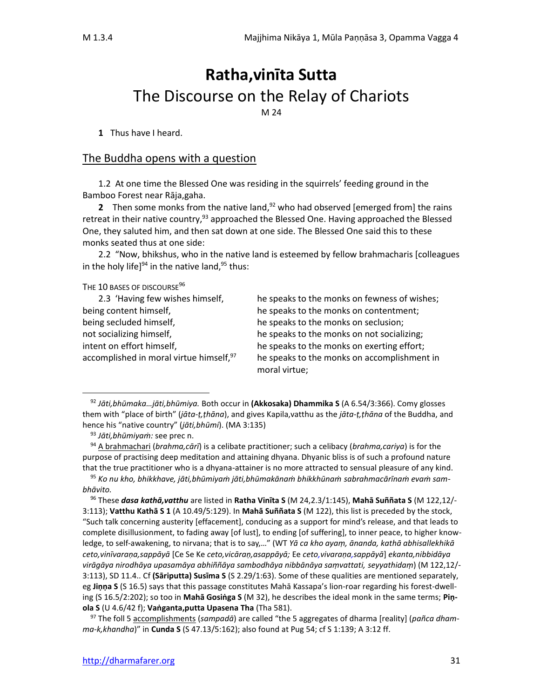# **Ratha,vinīta Sutta** The Discourse on the Relay of Chariots

M 24

**1** Thus have I heard.

### The Buddha opens with a question

1.2 At one time the Blessed One was residing in the squirrels' feeding ground in the Bamboo Forest near Rāja,gaha.

**2** Then some monks from the native land,<sup>92</sup> who had observed [emerged from] the rains retreat in their native country,<sup>93</sup> approached the Blessed One. Having approached the Blessed One, they saluted him, and then sat down at one side. The Blessed One said this to these monks seated thus at one side:

2.2 "Now, bhikshus, who in the native land is esteemed by fellow brahmacharis [colleagues in the holy life] $94$  in the native land, $95$  thus:

THE 10 BASES OF DISCOURSE<sup>96</sup>

| 2.3 'Having few wishes himself,                     |
|-----------------------------------------------------|
| being content himself,                              |
| being secluded himself,                             |
| not socializing himself,                            |
| intent on effort himself,                           |
| accomplished in moral virtue himself, <sup>97</sup> |

he speaks to the monks on fewness of wishes; he speaks to the monks on contentment; he speaks to the monks on seclusion; he speaks to the monks on not socializing; he speaks to the monks on exerting effort; he speaks to the monks on accomplishment in moral virtue;

<sup>92</sup> *Jāti,bhūmaka…jāti,bhūmiya.* Both occur in **(Akkosaka) Dhammika S** (A 6.54/3:366). Comy glosses them with "place of birth" (*jāta-ṭ,ṭhāna*), and gives Kapila,vatthu as the *jāta-ṭ,ṭhāna* of the Buddha, and hence his "native country" (*jāti,bhūmi*). (MA 3:135)

<sup>93</sup> *Jāti,bhūmiyaṁ:* see prec n.

<sup>94</sup> A brahmachari (*brahma,cārī*) is a celibate practitioner; such a celibacy (*brahma,cariya*) is for the purpose of practising deep meditation and attaining dhyana. Dhyanic bliss is of such a profound nature that the true practitioner who is a dhyana-attainer is no more attracted to sensual pleasure of any kind.

<sup>95</sup> *Ko nu kho, bhikkhave, jāti,bhūmiyaṁ jāti,bhūmakānaṁ bhikkhūnaṁ sabrahmacārīnaṁ evaṁ sambhāvito.*

<sup>96</sup> These *dasa kathā,vatthu* are listed in **Ratha Vinīta S** (M 24,2.3/1:145), **Mahā Suññata S** (M 122,12/- 3:113); **Vatthu Kathā S 1** (A 10.49/5:129). In **Mahā Suññata S** (M 122), this list is preceded by the stock, "Such talk concerning austerity [effacement], conducing as a support for mind's release, and that leads to complete disillusionment, to fading away [of lust], to ending [of suffering], to inner peace, to higher knowledge, to self-awakening, to nirvana; that is to say,…" (WT *Yā ca kho ayaṃ, ānanda, kathā abhisallekhikā ceto,vinīvaraṇa,sappāyā* [Ce Se Ke *ceto,vicāraṇ,asappāyā;* Ee *ceto,vivaraṇa,sappāyā*] *ekanta,nibbidāya virāgāya nirodhāya upasamāya abhiññāya sambodhāya nibbānāya saṃvattati, seyyathidaṃ*) (M 122,12/- 3:113), SD 11.4.. Cf **(Sāriputta) Susīma S** (S 2.29/1:63). Some of these qualities are mentioned separately, eg **Jiṇṇa S** (S 16.5) says that this passage constitutes Mahā Kassapa's lion-roar regarding his forest-dwelling (S 16.5/2:202); so too in **Mahā Gosiṅga S** (M 32), he describes the ideal monk in the same terms; **Piṇola S** (U 4.6/42 f); **Vaṅganta,putta Upasena Tha** (Tha 581).

<sup>97</sup> The foll 5 accomplishments (*sampadā*) are called "the 5 aggregates of dharma [reality] (*pañca dhamma-k,khandha*)" in **Cunda S** (S 47.13/5:162); also found at Pug 54; cf S 1:139; A 3:12 ff.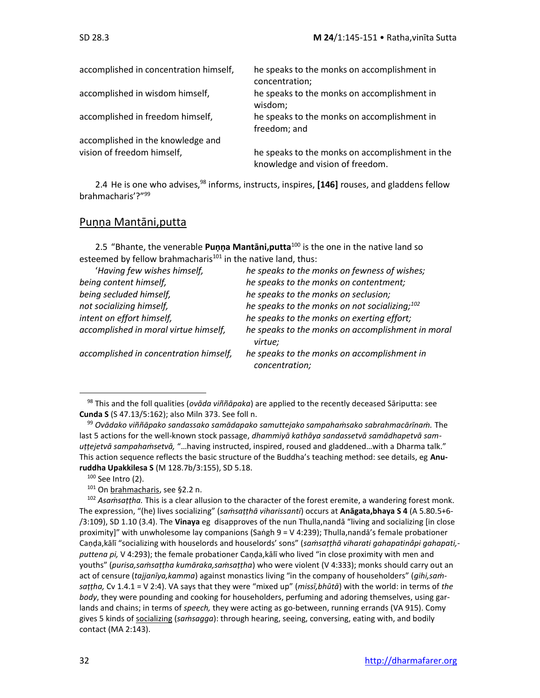| accomplished in concentration himself, | he speaks to the monks on accomplishment in<br>concentration;                       |
|----------------------------------------|-------------------------------------------------------------------------------------|
| accomplished in wisdom himself,        | he speaks to the monks on accomplishment in<br>wisdom;                              |
| accomplished in freedom himself,       | he speaks to the monks on accomplishment in<br>freedom; and                         |
| accomplished in the knowledge and      |                                                                                     |
| vision of freedom himself,             | he speaks to the monks on accomplishment in the<br>knowledge and vision of freedom. |

2.4 He is one who advises,<sup>98</sup> informs, instructs, inspires, **[146]** rouses, and gladdens fellow brahmacharis'?"<sup>99</sup>

### Puṇṇa Mantāni,putta

2.5 "Bhante, the venerable **Puṇṇa Mantāni,putta**<sup>100</sup> is the one in the native land so esteemed by fellow brahmacharis $101$  in the native land, thus:

| 'Having few wishes himself,            | he speaks to the monks on fewness of wishes;                  |
|----------------------------------------|---------------------------------------------------------------|
| being content himself,                 | he speaks to the monks on contentment;                        |
| being secluded himself,                | he speaks to the monks on seclusion;                          |
| not socializing himself,               | he speaks to the monks on not socializing; $^{102}$           |
| intent on effort himself,              | he speaks to the monks on exerting effort;                    |
| accomplished in moral virtue himself,  | he speaks to the monks on accomplishment in moral<br>virtue;  |
| accomplished in concentration himself, | he speaks to the monks on accomplishment in<br>concentration; |

<sup>98</sup> This and the foll qualities (*ovāda viññāpaka*) are applied to the recently deceased Sāriputta: see **Cunda S** (S 47.13/5:162); also Miln 373. See foll n.

 $100$  See Intro (2).

<sup>99</sup> *Ovādako viññāpako sandassako samādapako samuttejako sampahaṁsako sabrahmacārīnaṁ.* The last 5 actions for the well-known stock passage, *dhammiyā kathāya sandassetvā samādhapetvā samuṭṭejetvā sampahaṁsetvā,* "…having instructed, inspired, roused and gladdened…with a Dharma talk." This action sequence reflects the basic structure of the Buddha's teaching method: see details, eg **Anuruddha Upakkilesa S** (M 128.7b/3:155), SD 5.18.

<sup>101</sup> On brahmacharis, see §2.2 n.

<sup>102</sup> *Asaṁsaṭṭha.* This is a clear allusion to the character of the forest eremite, a wandering forest monk. The expression, "(he) lives socializing" (*saṁsaṭṭhā viharissanti*) occurs at **Anāgata,bhaya S 4** (A 5.80.5+6- /3:109), SD 1.10 (3.4). The **Vinaya** eg disapproves of the nun Thulla,nandā "living and socializing [in close proximity]" with unwholesome lay companions (Saṅgh 9 = V 4:239); Thulla,nandā's female probationer Caṇḍa,kālī "socializing with houselords and houselords' sons" (*saṁsaṭṭhā viharati gahapatinâpi gahapati, puttena pi,* V 4:293); the female probationer Caṇḍa,kālī who lived "in close proximity with men and youths" (*purisa,saṁsaṭṭha kumāraka,saṁsaṭṭha*) who were violent (V 4:333); monks should carry out an act of censure (*tajjanīya,kamma*) against monastics living "in the company of householders" (*gihi,saṁsaṭṭha,* Cv 1.4.1 = V 2:4). VA says that they were "mixed up" (*missī,bhūtā*) with the world: in terms of *the body*, they were pounding and cooking for householders, perfuming and adoring themselves, using garlands and chains; in terms of *speech,* they were acting as go-between, running errands (VA 915). Comy gives 5 kinds of socializing (*saṁsagga*): through hearing, seeing, conversing, eating with, and bodily contact (MA 2:143).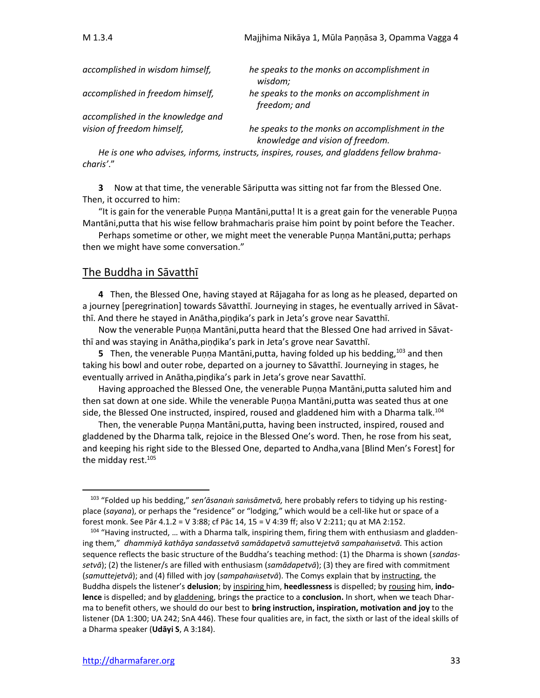| accomplished in wisdom himself,   | he speaks to the monks on accomplishment in<br>wisdom;                              |
|-----------------------------------|-------------------------------------------------------------------------------------|
| accomplished in freedom himself,  | he speaks to the monks on accomplishment in<br>freedom; and                         |
| accomplished in the knowledge and |                                                                                     |
| vision of freedom himself,        | he speaks to the monks on accomplishment in the<br>knowledge and vision of freedom. |

*He is one who advises, informs, instructs, inspires, rouses, and gladdens fellow brahmacharis'*."

**3** Now at that time, the venerable Sāriputta was sitting not far from the Blessed One. Then, it occurred to him:

"It is gain for the venerable Puṇṇa Mantāni,putta! It is a great gain for the venerable Puṇṇa Mantāni,putta that his wise fellow brahmacharis praise him point by point before the Teacher.

Perhaps sometime or other, we might meet the venerable Puṇṇa Mantāni,putta; perhaps then we might have some conversation."

### The Buddha in Sāvatthī

**4** Then, the Blessed One, having stayed at Rājagaha for as long as he pleased, departed on a journey [peregrination] towards Sāvatthī. Journeying in stages, he eventually arrived in Sāvatthī. And there he stayed in Anātha,piṇḍika's park in Jeta's grove near Savatthī.

Now the venerable Puṇṇa Mantāni,putta heard that the Blessed One had arrived in Sāvatthī and was staying in Anātha,piṇḍika's park in Jeta's grove near Savatthī.

**5** Then, the venerable Puṇṇa Mantāni, putta, having folded up his bedding, <sup>103</sup> and then taking his bowl and outer robe, departed on a journey to Sāvatthī. Journeying in stages, he eventually arrived in Anātha,piṇḍika's park in Jeta's grove near Savatthī.

Having approached the Blessed One, the venerable Puṇṇa Mantāni,putta saluted him and then sat down at one side. While the venerable Puṇṇa Mantāni,putta was seated thus at one side, the Blessed One instructed, inspired, roused and gladdened him with a Dharma talk.<sup>104</sup>

Then, the venerable Puṇṇa Mantāni,putta, having been instructed, inspired, roused and gladdened by the Dharma talk, rejoice in the Blessed One's word. Then, he rose from his seat, and keeping his right side to the Blessed One, departed to Andha,vana [Blind Men's Forest] for the midday rest. 105

<sup>103</sup> "Folded up his bedding," *sen'āsana sasāmetvā,* here probably refers to tidying up his restingplace (*sayana*), or perhaps the "residence" or "lodging," which would be a cell-like hut or space of a forest monk. See Pār 4.1.2 = V 3:88; cf Pāc 14, 15 = V 4:39 ff; also V 2:211; qu at MA 2:152.

<sup>104 &</sup>quot;Having instructed, ... with a Dharma talk, inspiring them, firing them with enthusiasm and gladdening them," *dhammiyā kathāya sandassetvā samādapetvā samuttejetvā sampahasetvā.* This action sequence reflects the basic structure of the Buddha's teaching method: (1) the Dharma is shown (*sandassetvā*); (2) the listener/s are filled with enthusiasm (*samādapetvā*); (3) they are fired with commitment (*samuttejetvā*); and (4) filled with joy (*sampahasetvā*). The Comys explain that by instructing, the Buddha dispels the listener's **delusion**; by inspiring him, **heedlessness** is dispelled; by rousing him, **indolence** is dispelled; and by gladdening, brings the practice to a **conclusion.** In short, when we teach Dharma to benefit others, we should do our best to **bring instruction, inspiration, motivation and joy** to the listener (DA 1:300; UA 242; SnA 446). These four qualities are, in fact, the sixth or last of the ideal skills of a Dharma speaker (**Udāyi S**, A 3:184).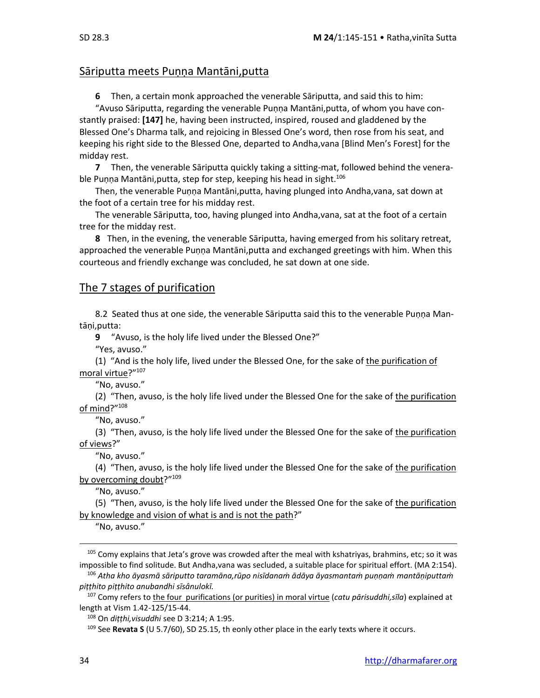### Sāriputta meets Puṇṇa Mantāni,putta

**6** Then, a certain monk approached the venerable Sāriputta, and said this to him:

"Avuso Sāriputta, regarding the venerable Puṇṇa Mantāni,putta, of whom you have constantly praised: **[147]** he, having been instructed, inspired, roused and gladdened by the Blessed One's Dharma talk, and rejoicing in Blessed One's word, then rose from his seat, and keeping his right side to the Blessed One, departed to Andha,vana [Blind Men's Forest] for the midday rest.

**7** Then, the venerable Sāriputta quickly taking a sitting-mat, followed behind the venerable Puṇṇa Mantāni, putta, step for step, keeping his head in sight.<sup>106</sup>

Then, the venerable Puṇṇa Mantāni,putta, having plunged into Andha,vana, sat down at the foot of a certain tree for his midday rest.

The venerable Sāriputta, too, having plunged into Andha,vana, sat at the foot of a certain tree for the midday rest.

**8** Then, in the evening, the venerable Sāriputta, having emerged from his solitary retreat, approached the venerable Puṇṇa Mantāni,putta and exchanged greetings with him. When this courteous and friendly exchange was concluded, he sat down at one side.

### The 7 stages of purification

8.2 Seated thus at one side, the venerable Sāriputta said this to the venerable Punna Mantāni, putta:

**9** "Avuso, is the holy life lived under the Blessed One?"

"Yes, avuso."

(1) "And is the holy life, lived under the Blessed One, for the sake of the purification of moral virtue?"107

"No, avuso."

(2) "Then, avuso, is the holy life lived under the Blessed One for the sake of the purification of mind?"<sup>108</sup>

"No, avuso."

(3) "Then, avuso, is the holy life lived under the Blessed One for the sake of the purification of views?"

"No, avuso."

(4) "Then, avuso, is the holy life lived under the Blessed One for the sake of the purification by overcoming doubt?"<sup>109</sup>

"No, avuso."

(5) "Then, avuso, is the holy life lived under the Blessed One for the sake of the purification by knowledge and vision of what is and is not the path?"

"No, avuso."

<sup>105</sup> Comy explains that Jeta's grove was crowded after the meal with kshatriyas, brahmins, etc; so it was impossible to find solitude. But Andha,vana was secluded, a suitable place for spiritual effort. (MA 2:154).

<sup>106</sup> *Atha kho āyasmā sāriputto taramāna,rūpo nisīdanaṁ ādāya āyasmantaṁ puṇṇaṁ mantāṇiputtaṁ piṭṭhito piṭṭhito anubandhi sīsânulokī.*

<sup>107</sup> Comy refers to the four purifications (or purities) in moral virtue (*catu pārisuddhi,sīla*) explained at length at Vism 1.42-125/15-44.

<sup>108</sup> On *diṭṭhi,visuddhi* see D 3:214; A 1:95.

<sup>109</sup> See **Revata S** (U 5.7/60), SD 25.15, th eonly other place in the early texts where it occurs.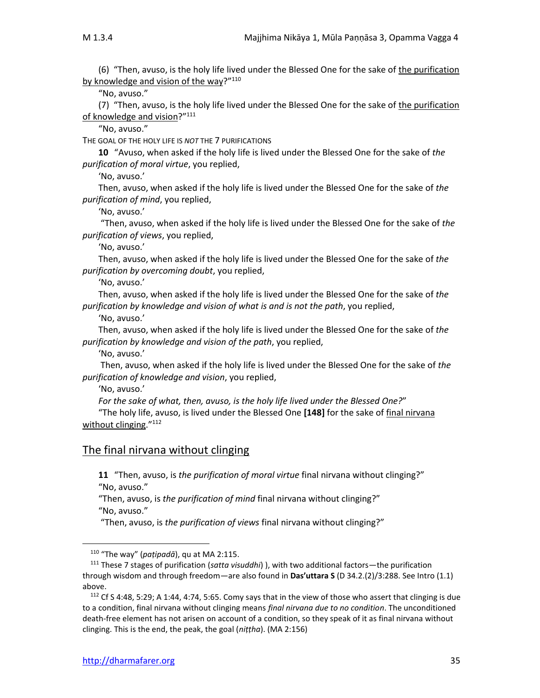(6) "Then, avuso, is the holy life lived under the Blessed One for the sake of the purification by knowledge and vision of the way?"110

"No, avuso."

(7) "Then, avuso, is the holy life lived under the Blessed One for the sake of the purification of knowledge and vision?"<sup>111</sup>

"No, avuso."

THE GOAL OF THE HOLY LIFE IS *NOT* THE 7 PURIFICATIONS

**10** "Avuso, when asked if the holy life is lived under the Blessed One for the sake of *the purification of moral virtue*, you replied,

'No, avuso.'

Then, avuso, when asked if the holy life is lived under the Blessed One for the sake of *the purification of mind*, you replied,

'No, avuso.'

"Then, avuso, when asked if the holy life is lived under the Blessed One for the sake of *the purification of views*, you replied,

'No, avuso.'

Then, avuso, when asked if the holy life is lived under the Blessed One for the sake of *the purification by overcoming doubt*, you replied,

'No, avuso.'

Then, avuso, when asked if the holy life is lived under the Blessed One for the sake of *the purification by knowledge and vision of what is and is not the path*, you replied,

'No, avuso.'

Then, avuso, when asked if the holy life is lived under the Blessed One for the sake of *the purification by knowledge and vision of the path*, you replied,

'No, avuso.'

Then, avuso, when asked if the holy life is lived under the Blessed One for the sake of *the purification of knowledge and vision*, you replied,

'No, avuso.'

*For the sake of what, then, avuso, is the holy life lived under the Blessed One?*"

"The holy life, avuso, is lived under the Blessed One **[148]** for the sake of final nirvana without clinging."<sup>112</sup>

### The final nirvana without clinging

**11** "Then, avuso, is *the purification of moral virtue* final nirvana without clinging?" "No, avuso."

"Then, avuso, is *the purification of mind* final nirvana without clinging?" "No, avuso."

"Then, avuso, is *the purification of views* final nirvana without clinging?"

<sup>110</sup> "The way" (*paṭipadā*), qu at MA 2:115.

<sup>111</sup> These 7 stages of purification (*satta visuddhi*) ), with two additional factors—the purification through wisdom and through freedom—are also found in **Das'uttara S** (D 34.2.(2)/3:288. See Intro (1.1) above.

<sup>112</sup> Cf S 4:48, 5:29; A 1:44, 4:74, 5:65. Comy says that in the view of those who assert that clinging is due to a condition, final nirvana without clinging means *final nirvana due to no condition*. The unconditioned death-free element has not arisen on account of a condition, so they speak of it as final nirvana without clinging. This is the end, the peak, the goal (*niṭṭha*). (MA 2:156)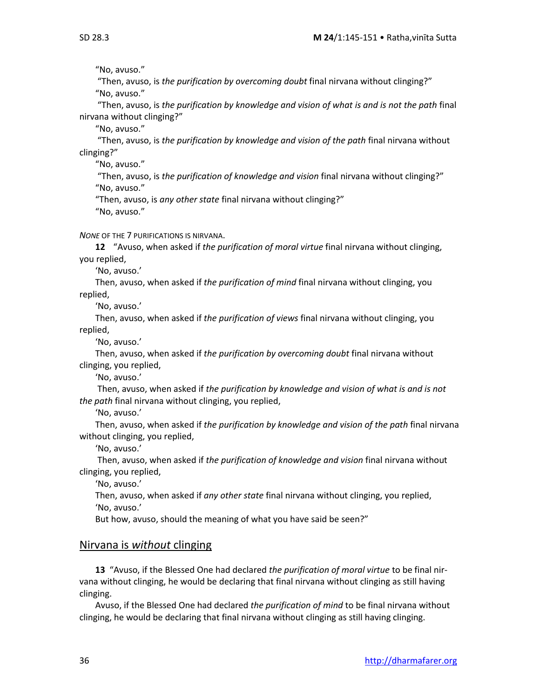"No, avuso."

"Then, avuso, is *the purification by overcoming doubt* final nirvana without clinging?" "No, avuso."

"Then, avuso, is *the purification by knowledge and vision of what is and is not the path* final nirvana without clinging?"

"No, avuso."

"Then, avuso, is *the purification by knowledge and vision of the path* final nirvana without clinging?"

"No, avuso."

"Then, avuso, is *the purification of knowledge and vision* final nirvana without clinging?" "No, avuso."

"Then, avuso, is *any other state* final nirvana without clinging?" "No, avuso."

*NONE* OF THE 7 PURIFICATIONS IS NIRVANA.

**12** "Avuso, when asked if *the purification of moral virtue* final nirvana without clinging, you replied,

'No, avuso.'

Then, avuso, when asked if *the purification of mind* final nirvana without clinging, you replied,

'No, avuso.'

Then, avuso, when asked if *the purification of views* final nirvana without clinging, you replied,

'No, avuso.'

Then, avuso, when asked if *the purification by overcoming doubt* final nirvana without clinging, you replied,

'No, avuso.'

Then, avuso, when asked if *the purification by knowledge and vision of what is and is not the path* final nirvana without clinging, you replied,

'No, avuso.'

Then, avuso, when asked if *the purification by knowledge and vision of the path* final nirvana without clinging, you replied,

'No, avuso.'

Then, avuso, when asked if *the purification of knowledge and vision* final nirvana without clinging, you replied,

'No, avuso.'

Then, avuso, when asked if *any other state* final nirvana without clinging, you replied, 'No, avuso.'

But how, avuso, should the meaning of what you have said be seen?"

### Nirvana is *without* clinging

**13** "Avuso, if the Blessed One had declared *the purification of moral virtue* to be final nirvana without clinging, he would be declaring that final nirvana without clinging as still having clinging.

Avuso, if the Blessed One had declared *the purification of mind* to be final nirvana without clinging, he would be declaring that final nirvana without clinging as still having clinging.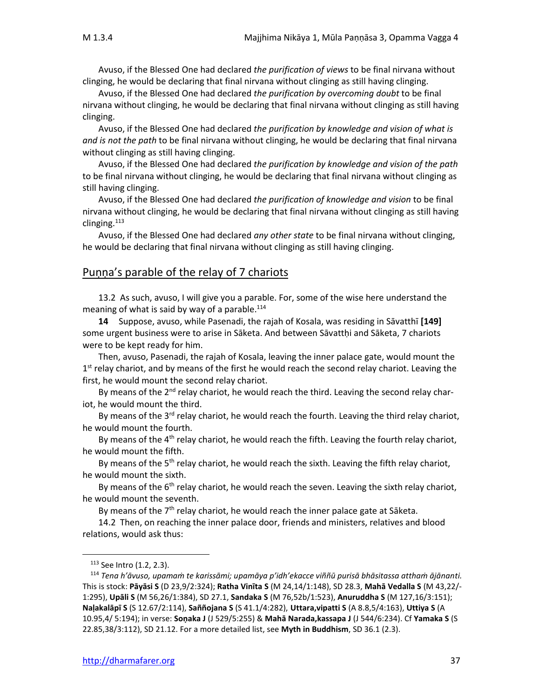Avuso, if the Blessed One had declared *the purification of views* to be final nirvana without clinging, he would be declaring that final nirvana without clinging as still having clinging.

Avuso, if the Blessed One had declared *the purification by overcoming doubt* to be final nirvana without clinging, he would be declaring that final nirvana without clinging as still having clinging.

Avuso, if the Blessed One had declared *the purification by knowledge and vision of what is and is not the path* to be final nirvana without clinging, he would be declaring that final nirvana without clinging as still having clinging.

Avuso, if the Blessed One had declared *the purification by knowledge and vision of the path* to be final nirvana without clinging, he would be declaring that final nirvana without clinging as still having clinging.

Avuso, if the Blessed One had declared *the purification of knowledge and vision* to be final nirvana without clinging, he would be declaring that final nirvana without clinging as still having clinging. $113$ 

Avuso, if the Blessed One had declared *any other state* to be final nirvana without clinging, he would be declaring that final nirvana without clinging as still having clinging.

### Puṇṇa's parable of the relay of 7 chariots

13.2As such, avuso, I will give you a parable. For, some of the wise here understand the meaning of what is said by way of a parable.<sup>114</sup>

**14** Suppose, avuso, while Pasenadi, the rajah of Kosala, was residing in Sāvatthī **[149]** some urgent business were to arise in Sāketa. And between Sāvattḥi and Sāketa, 7 chariots were to be kept ready for him.

Then, avuso, Pasenadi, the rajah of Kosala, leaving the inner palace gate, would mount the 1<sup>st</sup> relay chariot, and by means of the first he would reach the second relay chariot. Leaving the first, he would mount the second relay chariot.

By means of the 2<sup>nd</sup> relay chariot, he would reach the third. Leaving the second relay chariot, he would mount the third.

By means of the 3<sup>rd</sup> relay chariot, he would reach the fourth. Leaving the third relay chariot, he would mount the fourth.

By means of the  $4<sup>th</sup>$  relay chariot, he would reach the fifth. Leaving the fourth relay chariot, he would mount the fifth.

By means of the 5<sup>th</sup> relay chariot, he would reach the sixth. Leaving the fifth relay chariot, he would mount the sixth.

By means of the 6<sup>th</sup> relay chariot, he would reach the seven. Leaving the sixth relay chariot, he would mount the seventh.

By means of the  $7<sup>th</sup>$  relay chariot, he would reach the inner palace gate at Sāketa.

14.2 Then, on reaching the inner palace door, friends and ministers, relatives and blood relations, would ask thus:

<sup>113</sup> See Intro (1.2, 2.3).

<sup>114</sup> *Tena h'āvuso, upamaṁ te karissāmi; upamāya p'idh'ekacce viññū purisā bhāsitassa atthaṁ ājānanti.* This is stock: **Pāyāsi S** (D 23,9/2:324); **Ratha Vinīta S** (M 24,14/1:148), SD 28.3, **Mahā Vedalla S** (M 43,22/- 1:295), **Upāli S** (M 56,26/1:384), SD 27.1, **Sandaka S** (M 76,52b/1:523), **Anuruddha S** (M 127,16/3:151); **Naḷakalāpī S** (S 12.67/2:114), **Saññojana S** (S 41.1/4:282), **Uttara,vipatti S** (A 8.8,5/4:163), **Uttiya S** (A 10.95,4/ 5:194); in verse: **Soṇaka J** (J 529/5:255) & **Mahā Narada,kassapa J** (J 544/6:234). Cf **Yamaka S** (S 22.85,38/3:112), SD 21.12. For a more detailed list, see **Myth in Buddhism**, SD 36.1 (2.3).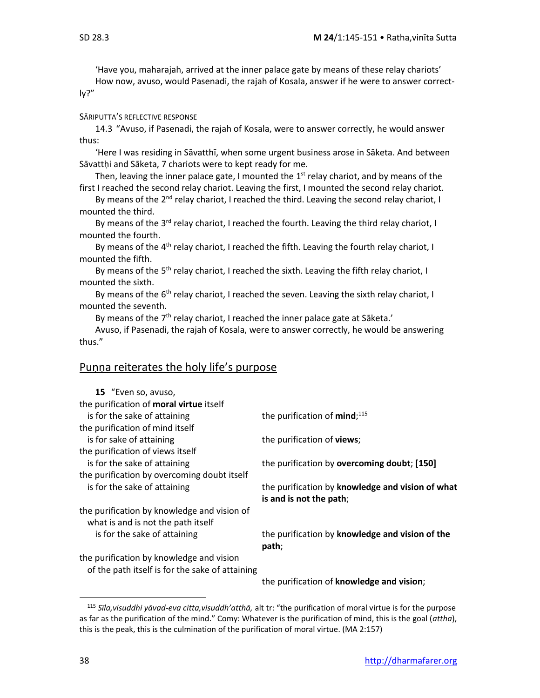'Have you, maharajah, arrived at the inner palace gate by means of these relay chariots' How now, avuso, would Pasenadi, the rajah of Kosala, answer if he were to answer correct-

ly?"

### SĀRIPUTTA'S REFLECTIVE RESPONSE

14.3"Avuso, if Pasenadi, the rajah of Kosala, were to answer correctly, he would answer thus:

'Here I was residing in Sāvatthī, when some urgent business arose in Sāketa. And between Sāvattḥi and Sāketa, 7 chariots were to kept ready for me.

Then, leaving the inner palace gate, I mounted the  $1<sup>st</sup>$  relay chariot, and by means of the first I reached the second relay chariot. Leaving the first, I mounted the second relay chariot.

By means of the 2<sup>nd</sup> relay chariot, I reached the third. Leaving the second relay chariot, I mounted the third.

By means of the 3<sup>rd</sup> relay chariot, I reached the fourth. Leaving the third relay chariot, I mounted the fourth.

By means of the 4<sup>th</sup> relay chariot, I reached the fifth. Leaving the fourth relay chariot, I mounted the fifth.

By means of the 5<sup>th</sup> relay chariot, I reached the sixth. Leaving the fifth relay chariot, I mounted the sixth.

By means of the 6<sup>th</sup> relay chariot, I reached the seven. Leaving the sixth relay chariot, I mounted the seventh.

By means of the  $7<sup>th</sup>$  relay chariot, I reached the inner palace gate at Sāketa.'

Avuso, if Pasenadi, the rajah of Kosala, were to answer correctly, he would be answering thus."

### Puṇṇa reiterates the holy life's purpose

| 15 "Even so, avuso,                             |                                                  |
|-------------------------------------------------|--------------------------------------------------|
| the purification of moral virtue itself         |                                                  |
| is for the sake of attaining                    | the purification of $mind;^{115}$                |
| the purification of mind itself                 |                                                  |
| is for sake of attaining                        | the purification of <b>views</b> ;               |
| the purification of views itself                |                                                  |
| is for the sake of attaining                    | the purification by overcoming doubt; [150]      |
| the purification by overcoming doubt itself     |                                                  |
| is for the sake of attaining                    | the purification by knowledge and vision of what |
|                                                 | is and is not the path;                          |
| the purification by knowledge and vision of     |                                                  |
| what is and is not the path itself              |                                                  |
| is for the sake of attaining                    | the purification by knowledge and vision of the  |
|                                                 | path;                                            |
| the purification by knowledge and vision        |                                                  |
| of the path itself is for the sake of attaining |                                                  |
|                                                 | the purification of knowledge and vision;        |
|                                                 |                                                  |

<sup>115</sup> *Sīla,visuddhi yāvad-eva citta,visuddh'atthā,* alt tr: "the purification of moral virtue is for the purpose as far as the purification of the mind." Comy: Whatever is the purification of mind, this is the goal (*attha*), this is the peak, this is the culmination of the purification of moral virtue. (MA 2:157)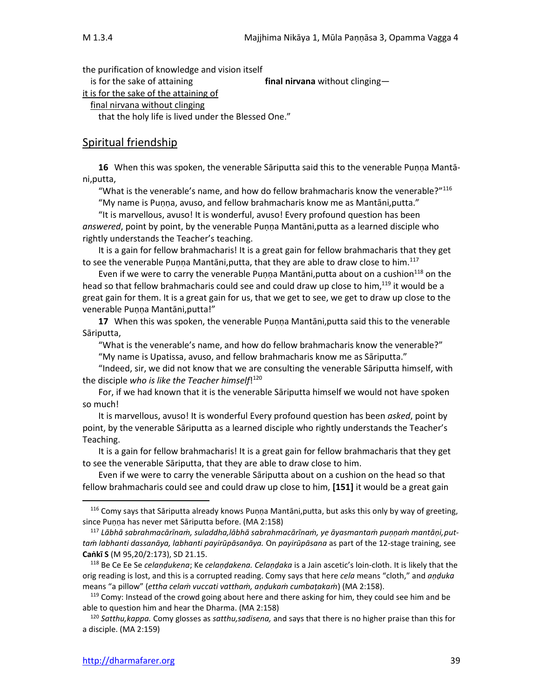the purification of knowledge and vision itself

is for the sake of attaining **final nirvana** without clinging—

it is for the sake of the attaining of

final nirvana without clinging

that the holy life is lived under the Blessed One."

### Spiritual friendship

**16** When this was spoken, the venerable Sāriputta said this to the venerable Puṇṇa Mantāni,putta,

"What is the venerable's name, and how do fellow brahmacharis know the venerable?" $116$ 

"My name is Puṇṇa, avuso, and fellow brahmacharis know me as Mantāni,putta."

"It is marvellous, avuso! It is wonderful, avuso! Every profound question has been *answered*, point by point, by the venerable Puṇṇa Mantāni,putta as a learned disciple who rightly understands the Teacher's teaching.

It is a gain for fellow brahmacharis! It is a great gain for fellow brahmacharis that they get to see the venerable Puṇṇa Mantāni, putta, that they are able to draw close to him.<sup>117</sup>

Even if we were to carry the venerable Punna Mantāni,putta about on a cushion $^{118}$  on the head so that fellow brahmacharis could see and could draw up close to him,<sup>119</sup> it would be a great gain for them. It is a great gain for us, that we get to see, we get to draw up close to the venerable Puṇṇa Mantāni,putta!"

**17** When this was spoken, the venerable Puṇṇa Mantāni,putta said this to the venerable Sāriputta,

"What is the venerable's name, and how do fellow brahmacharis know the venerable?" "My name is Upatissa, avuso, and fellow brahmacharis know me as Sāriputta."

"Indeed, sir, we did not know that we are consulting the venerable Sāriputta himself, with the disciple *who is like the Teacher himself*! 120

For, if we had known that it is the venerable Sāriputta himself we would not have spoken so much!

It is marvellous, avuso! It is wonderful Every profound question has been *asked*, point by point, by the venerable Sāriputta as a learned disciple who rightly understands the Teacher's Teaching.

It is a gain for fellow brahmacharis! It is a great gain for fellow brahmacharis that they get to see the venerable Sāriputta, that they are able to draw close to him.

Even if we were to carry the venerable Sāriputta about on a cushion on the head so that fellow brahmacharis could see and could draw up close to him, **[151]** it would be a great gain

<sup>&</sup>lt;sup>116</sup> Comy says that Sāriputta already knows Puṇṇa Mantāni,putta, but asks this only by way of greeting, since Puṇṇa has never met Sāriputta before. (MA 2:158)

<sup>117</sup> *Lābhā sabrahmacārīnaṁ, suladdha,lābhā sabrahmacārīnaṁ, ye āyasmantaṁ puṇṇaṁ mantāṇi,puttaṁ labhanti dassanāya, labhanti payirūpāsanāya.* On *payirūpāsana* as part of the 12-stage training, see **Caṅkī S** (M 95,20/2:173), SD 21.15.

<sup>118</sup> Be Ce Ee Se *celaṇḍukena*; Ke *celaṇḍakena. Celaṇḍaka* is a Jain ascetic's loin-cloth. It is likely that the orig reading is lost, and this is a corrupted reading. Comy says that here *cela* means "cloth," and *aṇḍuka*  means "a pillow" (*ettha celaṁ vuccati vatthaṁ, aṇḍukaṁ cumbaṭakaṁ*) (MA 2:158).

 $119$  Comy: Instead of the crowd going about here and there asking for him, they could see him and be able to question him and hear the Dharma. (MA 2:158)

<sup>120</sup> *Satthu,kappa.* Comy glosses as *satthu,sadisena,* and says that there is no higher praise than this for a disciple. (MA 2:159)